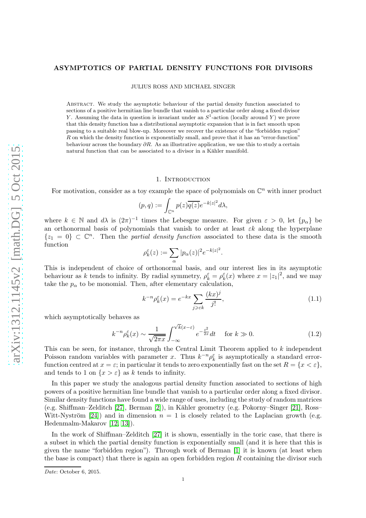### ASYMPTOTICS OF PARTIAL DENSITY FUNCTIONS FOR DIVISORS

JULIUS ROSS AND MICHAEL SINGER

Abstract. We study the asymptotic behaviour of the partial density function associated to sections of a positive hermitian line bundle that vanish to a particular order along a fixed divisor Y. Assuming the data in question is invariant under an  $S^1$ -action (locally around Y) we prove that this density function has a distributional asymptotic expansion that is in fact smooth upon passing to a suitable real blow-up. Moreover we recover the existence of the "forbidden region" R on which the density function is exponentially small, and prove that it has an "error-function" behaviour across the boundary  $\partial R$ . As an illustrative application, we use this to study a certain natural function that can be associated to a divisor in a Kähler manifold.

#### 1. INTRODUCTION

For motivation, consider as a toy example the space of polynomials on  $\mathbb{C}^n$  with inner product

$$
(p,q) := \int_{\mathbb{C}^n} p(z) \overline{q(z)} e^{-k|z|^2} d\lambda,
$$

where  $k \in \mathbb{N}$  and  $d\lambda$  is  $(2\pi)^{-1}$  times the Lebesgue measure. For given  $\varepsilon > 0$ , let  $\{p_{\alpha}\}\$ be an orthonormal basis of polynomials that vanish to order at least  $\varepsilon k$  along the hyperplane  $\{z_1 = 0\} \subset \mathbb{C}^n$ . Then the *partial density function* associated to these data is the smooth function

$$
\rho_k^{\varepsilon}(z) := \sum_{\alpha} |p_{\alpha}(z)|^2 e^{-k|z|^2}.
$$

This is independent of choice of orthonormal basis, and our interest lies in its asymptotic behaviour as k tends to infinity. By radial symmetry,  $\rho_k^{\varepsilon} = \rho_k^{\varepsilon}(x)$  where  $x = |z_1|^2$ , and we may take the  $p_{\alpha}$  to be monomial. Then, after elementary calculation,

<span id="page-0-1"></span>
$$
k^{-n}\rho_k^{\varepsilon}(x) = e^{-kx} \sum_{j \geq \varepsilon k} \frac{(kx)^j}{j!},\tag{1.1}
$$

which asymptotically behaves as

<span id="page-0-0"></span>
$$
k^{-n}\rho_k^{\varepsilon}(x) \sim \frac{1}{\sqrt{2\pi x}} \int_{-\infty}^{\sqrt{k}(x-\varepsilon)} e^{-\frac{t^2}{2x}} dt \quad \text{for } k \gg 0.
$$
 (1.2)

This can be seen, for instance, through the Central Limit Theorem applied to k independent Poisson random variables with parameter x. Thus  $k^{-n} \rho_k^{\varepsilon}$  is asymptotically a standard errorfunction centred at  $x = \varepsilon$ ; in particular it tends to zero exponentially fast on the set  $R = \{x < \varepsilon\}$ , and tends to 1 on  $\{x > \varepsilon\}$  as k tends to infinity.

In this paper we study the analogous partial density function associated to sections of high powers of a positive hermitian line bundle that vanish to a particular order along a fixed divisor. Similar density functions have found a wide range of uses, including the study of random matrices (e.g. Shiffman–Zelditch [\[27\]](#page-34-0), Berman [\[2\]](#page-33-0)), in K¨ahler geometry (e.g. Pokorny–Singer [\[21\]](#page-34-1), Ross– Witt-Nyström [\[24\]](#page-34-2)) and in dimension  $n = 1$  is closely related to the Laplacian growth (e.g. Hedenmalm-Makarov [\[12,](#page-34-3) [13\]](#page-34-4)).

In the work of Shiffman–Zelditch [\[27\]](#page-34-0) it is shown, essentially in the toric case, that there is a subset in which the partial density function is exponentially small (and it is here that this is given the name "forbidden region"). Through work of Berman [\[1\]](#page-33-1) it is known (at least when the base is compact) that there is again an open forbidden region  $R$  containing the divisor such

Date: October 6, 2015.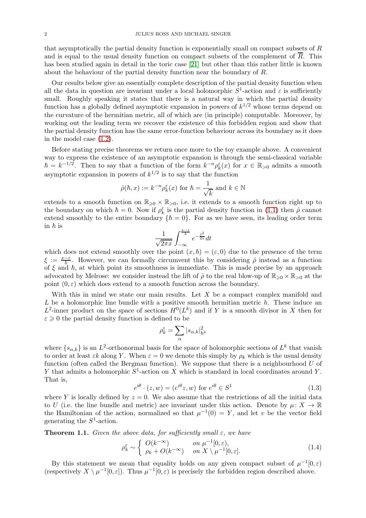that asymptotically the partial density function is exponentially small on compact subsets of R and is equal to the usual density function on compact subsets of the complement of  $\overline{R}$ . This has been studied again in detail in the toric case [\[21\]](#page-34-1) but other than this rather little is known about the behaviour of the partial density function near the boundary of R.

Our results below give an essentially complete description of the partial density function when all the data in question are invariant under a local holomorphic  $S^1$ -action and  $\varepsilon$  is sufficiently small. Roughly speaking it states that there is a natural way in which the partial density function has a globally defined asymptotic expansion in powers of  $k^{1/2}$  whose terms depend on the curvature of the hermitian metric, all of which are (in principle) computable. Moreover, by working out the leading term we recover the existence of this forbidden region and show that the partial density function has the same error-function behaviour across its boundary as it does in the model case [\(1.2\)](#page-0-0).

Before stating precise theorems we return once more to the toy example above. A convenient way to express the existence of an asymptotic expansion is through the semi-classical variable  $\hbar = k^{-1/2}$ . Then to say that a function of the form  $k^{-n} \rho_k^{\varepsilon}(x)$  for  $x \in \mathbb{R}_{>0}$  admits a smooth asymptotic expansion in powers of  $k^{1/2}$  is to say that the function

$$
\hat{\rho}(\hbar, x) := k^{-n} \rho_k^{\varepsilon}(x)
$$
 for  $\hbar = \frac{1}{\sqrt{k}}$  and  $k \in \mathbb{N}$ 

extends to a smooth function on  $\mathbb{R}_{\geq 0} \times \mathbb{R}_{>0}$ , i.e. it extends to a smooth function right up to the boundary on which  $\hbar = 0$ . Now if  $\rho_k^{\varepsilon}$  is the partial density function in [\(1.1\)](#page-0-1) then  $\hat{\rho}$  cannot extend smoothly to the entire boundary  $\{\hbar = 0\}$ . For as we have seen, its leading order term in  $\hbar$  is

$$
\frac{1}{\sqrt{2\pi x}} \int_{-\infty}^{\frac{x-\varepsilon}{h}} e^{-\frac{t^2}{2x}} dt
$$

which does not extend smoothly over the point  $(x, \hbar) = (\varepsilon, 0)$  due to the presence of the term  $\xi := \frac{x-\varepsilon}{\hbar}$ . However, we can formally circumvent this by considering  $\hat{\rho}$  instead as a function of  $\xi$  and  $\hbar$ , at which point its smoothness is immediate. This is made precise by an approach advocated by Melrose: we consider instead the lift of  $\hat{\rho}$  to the real blow-up of  $\mathbb{R}_{\geq 0} \times \mathbb{R}_{>0}$  at the point  $(0, \varepsilon)$  which does extend to a smooth function across the boundary.

With this in mind we state our main results. Let  $X$  be a compact complex manifold and  $L$  be a holomorphic line bundle with a positive smooth hermitian metric  $h$ . These induce an  $L^2$ -inner product on the space of sections  $H^0(L^k)$  and if Y is a smooth divisor in X then for  $\varepsilon \geq 0$  the partial density function is defined to be

$$
\rho_k^\varepsilon = \sum_\alpha |s_{\alpha,k}|^2_{h^k}
$$

where  $\{s_{\alpha,k}\}\)$  is an  $L^2$ -orthonormal basis for the space of holomorphic sections of  $L^k$  that vanish to order at least  $\varepsilon k$  along Y. When  $\varepsilon = 0$  we denote this simply by  $\rho_k$  which is the usual density function (often called the Bergman function). We suppose that there is a neighbourhood  $U$  of Y that admits a holomorphic  $S^1$ -action on X which is standard in local coordinates around Y. That is,

$$
e^{i\theta} \cdot (z, w) = (e^{i\theta} z, w) \text{ for } e^{i\theta} \in S^1
$$
 (1.3)

where Y is locally defined by  $z = 0$ . We also assume that the restrictions of all the initial data to U (i.e. the line bundle and metric) are invariant under this action. Denote by  $\mu: X \to \mathbb{R}$ the Hamiltonian of the action, normalized so that  $\mu^{-1}(0) = Y$ , and let v be the vector field generating the  $S^1$ -action.

<span id="page-1-0"></span>**Theorem 1.1.** Given the above data, for sufficiently small  $\varepsilon$ , we have

$$
\rho_k^{\varepsilon} \sim \begin{cases} O(k^{-\infty}) & \text{on } \mu^{-1}[0,\varepsilon), \\ \rho_k + O(k^{-\infty}) & \text{on } X \setminus \mu^{-1}[0,\varepsilon]. \end{cases}
$$
 (1.4)

By this statement we mean that equality holds on any given compact subset of  $\mu^{-1}[0,\varepsilon)$ (respectively  $X \setminus \mu^{-1}[0,\varepsilon]$ ). Thus  $\mu^{-1}[0,\varepsilon)$  is precisely the forbidden region described above.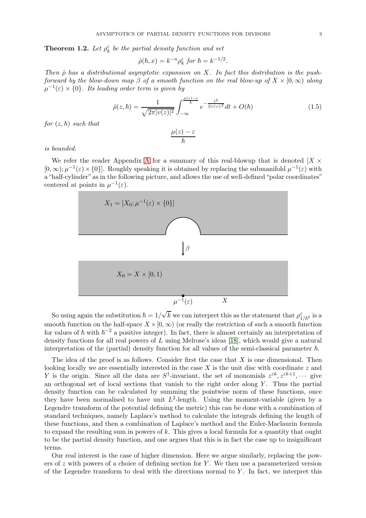<span id="page-2-0"></span>**Theorem 1.2.** Let  $\rho_k^{\varepsilon}$  be the partial density function and set

$$
\hat{\rho}(\hbar, x) = k^{-n} \rho_k^{\varepsilon} \text{ for } \hbar = k^{-1/2}.
$$

Then  $\hat{\rho}$  has a distributional asymptotic expansion on X. In fact this distribution is the pushforward by the blow-down map  $\beta$  of a smooth function on the real blow-up of  $X \times [0,\infty)$  along  $\mu^{-1}(\varepsilon) \times \{0\}$ . Its leading order term is given by

$$
\hat{\rho}(z,\hbar) = \frac{1}{\sqrt{2\pi |v(z)|^2}} \int_{-\infty}^{\frac{\mu(z)-\varepsilon}{\hbar}} e^{-\frac{t^2}{2|v(z)|^2}} dt + O(\hbar)
$$
\n(1.5)

for  $(z, \hbar)$  such that

$$
\frac{\mu(z)-\varepsilon}{\hbar}
$$

is bounded.

We refer the reader [A](#page-26-0)ppendix A for a summary of this real-blowup that is denoted  $[X \times$  $[0, \infty); \mu^{-1}(\varepsilon) \times \{0\}$ . Roughly speaking it is obtained by replacing the submanifold  $\mu^{-1}(\varepsilon)$  with a "half-cylinder" as in the following picture, and allows the use of well-defined "polar coordinates" centered at points in  $\mu^{-1}(\varepsilon)$ .



So using again the substitution  $\hbar = 1/\sqrt{k}$  we can interpret this as the statement that  $\rho_{1/\hbar^2}^{\varepsilon}$  is a smooth function on the half-space  $X \times [0,\infty)$  (or really the restriction of such a smooth function for values of  $\hbar$  with  $\hbar^{-2}$  a positive integer). In fact, there is almost certainly an interpretation of density functions for all real powers of L using Melrose's ideas [\[18\]](#page-34-5), which would give a natural interpretation of the (partial) density function for all values of the semi-classical parameter  $\hbar$ .

The idea of the proof is as follows. Consider first the case that  $X$  is one dimensional. Then looking locally we are essentially interested in the case  $X$  is the unit disc with coordinate  $z$  and Y is the origin. Since all the data are  $S^1$ -invariant, the set of monomials  $z^{\varepsilon k}$ ,  $z^{\varepsilon k+1}$ ,  $\cdots$  give an orthogonal set of local sections that vanish to the right order along  $Y$ . Thus the partial density function can be calculated by summing the pointwise norm of these functions, once they have been normalised to have unit  $L^2$ -length. Using the moment-variable (given by a Legendre transform of the potential defining the metric) this can be done with a combination of standard techniques, namely Laplace's method to calculate the integrals defining the length of these functions, and then a combination of Laplace's method and the Euler-Maclaurin formula to expand the resulting sum in powers of  $k$ . This gives a local formula for a quantity that ought to be the partial density function, and one argues that this is in fact the case up to insignificant terms.

Our real interest is the case of higher dimension. Here we argue similarly, replacing the powers of  $z$  with powers of a choice of defining section for  $Y$ . We then use a parameterized version of the Legendre transform to deal with the directions normal to  $Y$ . In fact, we interpret this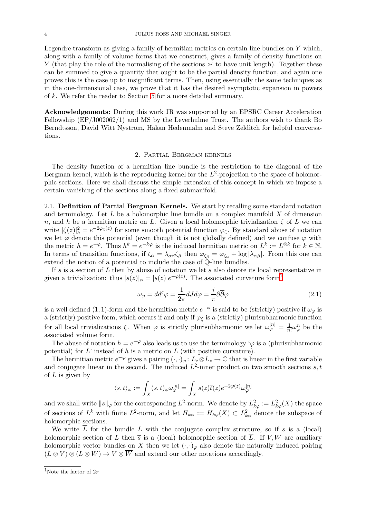Legendre transform as giving a family of hermitian metrics on certain line bundles on Y which, along with a family of volume forms that we construct, gives a family of density functions on Y (that play the role of the normalising of the sections  $z^j$  to have unit length). Together these can be summed to give a quantity that ought to be the partial density function, and again one proves this is the case up to insignificant terms. Then, using essentially the same techniques as in the one-dimensional case, we prove that it has the desired asymptotic expansion in powers of k. We refer the reader to Section [5](#page-13-0) for a more detailed summary.

Acknowledgements: During this work JR was supported by an EPSRC Career Acceleration Fellowship (EP/J002062/1) and MS by the Leverhulme Trust. The authors wish to thank Bo Berndtsson, David Witt Nyström, Håkan Hedenmalm and Steve Zelditch for helpful conversations.

#### 2. Partial Bergman kernels

The density function of a hermitian line bundle is the restriction to the diagonal of the Bergman kernel, which is the reproducing kernel for the  $L^2$ -projection to the space of holomorphic sections. Here we shall discuss the simple extension of this concept in which we impose a certain vanishing of the sections along a fixed submanifold.

2.1. Definition of Partial Bergman Kernels. We start by recalling some standard notation and terminology. Let  $L$  be a holomorphic line bundle on a complex manifold  $X$  of dimension n, and h be a hermitian metric on L. Given a local holomorphic trivialization  $\zeta$  of L we can write  $|\zeta(z)|_h^2 = e^{-2\varphi_{\zeta}(z)}$  for some smooth potential function  $\varphi_{\zeta}$ . By standard abuse of notation we let  $\varphi$  denote this potential (even though it is not globally defined) and we confuse  $\varphi$  with the metric  $h = e^{-\varphi}$ . Thus  $h^k = e^{-k\varphi}$  is the induced hermitian metric on  $L^k := L^{\otimes k}$  for  $k \in \mathbb{N}$ . In terms of transition functions, if  $\zeta_{\alpha} = \lambda_{\alpha\beta}\zeta_{\beta}$  then  $\varphi_{\zeta_{\beta}} = \varphi_{\zeta_{\alpha}} + \log |\lambda_{\alpha\beta}|$ . From this one can extend the notion of a potential to include the case of Q-line bundles.

If s is a section of  $L$  then by abuse of notation we let s also denote its local representative in given a trivialization: thus  $|s(z)|_{\varphi} = |s(z)|e^{-\varphi(z)}$ . The associated curvature form<sup>[1](#page-3-0)</sup>

$$
\omega_{\varphi} = dd^c \varphi = \frac{1}{2\pi} dJ d\varphi = \frac{i}{\pi} \partial \overline{\partial} \varphi \tag{2.1}
$$

is a well defined (1, 1)-form and the hermitian metric  $e^{-\varphi}$  is said to be (strictly) positive if  $\omega_{\varphi}$  is a (strictly) positive form, which occurs if and only if  $\varphi_{\zeta}$  is a (strictly) plurisubharmonic function for all local trivializations  $\zeta$ . When  $\varphi$  is strictly plurisubharmonic we let  $\omega_{\varphi}^{[n]} = \frac{1}{n}$  $\frac{1}{n!}\omega_{\varphi}^n$  be the associated volume form.

The abuse of notation  $h = e^{-\varphi}$  also leads us to use the terminology ' $\varphi$  is a (plurisubharmonic potential) for  $L'$  instead of h is a metric on  $L$  (with positive curvature).

The hermitian metric  $e^{-\varphi}$  gives a pairing  $(\cdot, \cdot)_{\varphi} : L_z \otimes L_z \to \mathbb{C}$  that is linear in the first variable and conjugate linear in the second. The induced  $L^2$ -inner product on two smooth sections s, t of  $L$  is given by

$$
\langle s,t\rangle_{\varphi}:=\int_X(s,t)_{\varphi}\omega_{\varphi}^{[n]}=\int_X s(z)\overline{t}(z)e^{-2\varphi(z)}\omega_{\varphi}^{[n]}
$$

and we shall write  $||s||_{\varphi}$  for the corresponding  $L^2$ -norm. We denote by  $L^2_{k\varphi} := L^2_{k\varphi}(X)$  the space of sections of  $L^k$  with finite  $L^2$ -norm, and let  $H_{k\varphi} := H_{k\varphi}(X) \subset L^2_{k\varphi}$  denote the subspace of holomorphic sections.

We write  $\overline{L}$  for the bundle L with the conjugate complex structure, so if s is a (local) holomorphic section of L then  $\bar{s}$  is a (local) holomorphic section of  $\bar{L}$ . If V, W are auxiliary holomorphic vector bundles on X then we let  $(\cdot, \cdot)_{\varphi}$  also denote the naturally induced pairing  $(L \otimes V) \otimes (L \otimes W) \to V \otimes \overline{W}$  and extend our other notations accordingly.

<span id="page-3-0"></span><sup>&</sup>lt;sup>1</sup>Note the factor of  $2\pi$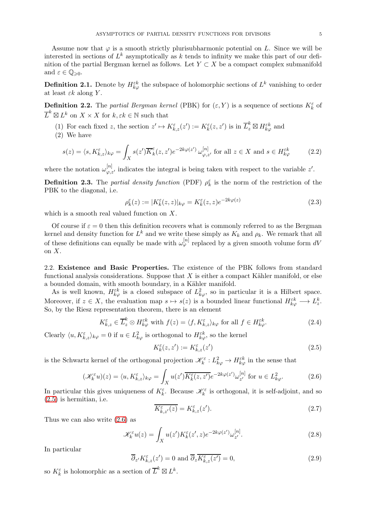Assume now that  $\varphi$  is a smooth strictly plurisubharmonic potential on L. Since we will be interested in sections of  $L^k$  asymptotically as k tends to infinity we make this part of our definition of the partial Bergman kernel as follows. Let  $Y \subset X$  be a compact complex submanifold and  $\varepsilon \in \mathbb{Q}_{\geqslant 0}$ .

**Definition 2.1.** Denote by  $H_{k\varphi}^{\varepsilon k}$  the subspace of holomorphic sections of  $L^k$  vanishing to order at least  $\varepsilon k$  along Y.

**Definition 2.2.** The partial Bergman kernel (PBK) for  $(\varepsilon, Y)$  is a sequence of sections  $K_{k}^{\varepsilon}$  of  $\overline{L}^k \boxtimes L^k$  on  $X \times X$  for  $k, \varepsilon k \in \mathbb{N}$  such that

- (1) For each fixed z, the section  $z' \mapsto K_{k,z}^{\varepsilon}(z') := K_k^{\varepsilon}(z, z')$  is in  $\overline{L}_z^k \boxtimes H_{k\varphi}^{\varepsilon k}$  and
- (2) We have

$$
s(z) = \langle s, K_{k,z}^{\varepsilon} \rangle_{k\varphi} = \int_X s(z') \overline{K}_k^{\varepsilon} (z, z') e^{-2k\varphi(z')} \omega_{\varphi, z'}^{[n]}, \text{ for all } z \in X \text{ and } s \in H_{k\varphi}^{\varepsilon k} \tag{2.2}
$$

where the notation  $\omega_{\varphi,z'}^{[n]}$  indicates the integral is being taken with respect to the variable  $z'$ .

**Definition 2.3.** The partial density function (PDF)  $\rho_k^{\varepsilon}$  is the norm of the restriction of the PBK to the diagonal, i.e.

$$
\rho_k^{\varepsilon}(z) := |K_k^{\varepsilon}(z, z)|_{k\varphi} = K_k^{\varepsilon}(z, z)e^{-2k\varphi(z)}
$$
\n(2.3)

which is a smooth real valued function on X.

Of course if  $\varepsilon = 0$  then this definition recovers what is commonly referred to as the Bergman kernel and density function for  $L^k$  and we write these simply as  $K_k$  and  $\rho_k$ . We remark that all of these definitions can equally be made with  $\omega_{\varphi}^{[n]}$  replaced by a given smooth volume form  $dV$ on X.

<span id="page-4-2"></span>2.2. Existence and Basic Properties. The existence of the PBK follows from standard functional analysis considerations. Suppose that  $X$  is either a compact Kähler manifold, or else a bounded domain, with smooth boundary, in a Kähler manifold.

As is well known,  $H_{k\varphi}^{\varepsilon k}$  is a closed subspace of  $L^2_{k\varphi}$ , so in particular it is a Hilbert space. Moreover, if  $z \in X$ , the evaluation map  $s \mapsto s(z)$  is a bounded linear functional  $H_{k\varphi}^{\varepsilon k} \longrightarrow L_z^k$ . So, by the Riesz representation theorem, there is an element

$$
K_{k,z}^{\varepsilon} \in \overline{L}_z^k \otimes H_{k\varphi}^{\varepsilon k} \text{ with } f(z) = \langle f, K_{k,z}^{\varepsilon} \rangle_{k\varphi} \text{ for all } f \in H_{k\varphi}^{\varepsilon k}. \tag{2.4}
$$

Clearly  $\langle u, K_{k,z}^{\varepsilon} \rangle_{k\varphi} = 0$  if  $u \in L^2_{k\varphi}$  is orthogonal to  $H_{k\varphi}^{\varepsilon k}$ , so the kernel

<span id="page-4-0"></span>
$$
K_k^{\varepsilon}(z, z') := K_{k, z}^{\varepsilon}(z') \tag{2.5}
$$

is the Schwartz kernel of the orthogonal projection  $\mathscr{K}_{k}^{\varepsilon}: L_{k\varphi}^{2} \to H_{k\varphi}^{\varepsilon k}$  in the sense that

<span id="page-4-1"></span>
$$
(\mathscr{K}_k^{\varepsilon}u)(z) = \langle u, K_{k,z}^{\varepsilon} \rangle_{k\varphi} = \int_X u(z') \overline{K_k^{\varepsilon}(z, z')} e^{-2k\varphi(z')} \omega_{z'}^{[n]} \text{ for } u \in L_{k\varphi}^2.
$$
 (2.6)

In particular this gives uniqueness of  $K_k^{\varepsilon}$ . Because  $\mathscr{K}_k^{\varepsilon}$  is orthogonal, it is self-adjoint, and so [\(2.5\)](#page-4-0) is hermitian, i.e.

$$
\overline{K_{k,z'}^{\varepsilon}(z)} = K_{k,z}^{\varepsilon}(z'). \tag{2.7}
$$

Thus we can also write [\(2.6\)](#page-4-1) as

$$
\mathcal{K}_k^{\varepsilon} u(z) = \int_X u(z') K_k^{\varepsilon}(z', z) e^{-2k\varphi(z')} \omega_{z'}^{[n]}.
$$
\n(2.8)

In particular

$$
\overline{\partial}_{z'} K_{k,z}^{\varepsilon}(z') = 0 \text{ and } \overline{\partial}_{z} \overline{K_{k,z}^{\varepsilon}(z')} = 0,
$$
\n(2.9)

so  $K_k^{\varepsilon}$  is holomorphic as a section of  $\overline{L}^k \boxtimes L^k$ .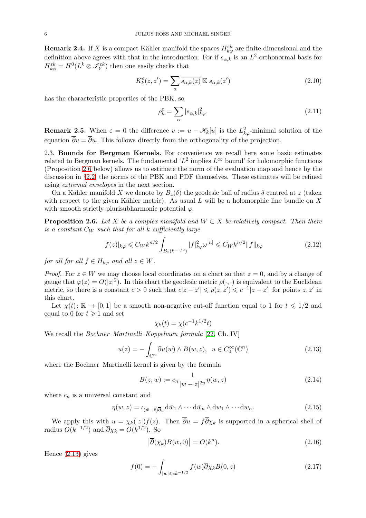**Remark 2.4.** If X is a compact Kähler manifold the spaces  $H_{k\varphi}^{\varepsilon k}$  are finite-dimensional and the definition above agrees with that in the introduction. For if  $s_{\alpha,k}$  is an  $L^2$ -orthonormal basis for  $H_{k\varphi}^{\varepsilon k}=H^0(L^k\otimes \mathscr{I}_Y^{\varepsilon k})$  then one easily checks that

$$
K_k^{\varepsilon}(z, z') = \sum_{\alpha} \overline{s_{\alpha,k}(z)} \boxtimes s_{\alpha,k}(z')
$$
\n(2.10)

has the characteristic properties of the PBK, so

$$
\rho_k^{\varepsilon} = \sum_{\alpha} |s_{\alpha,k}|_{k\varphi}^2.
$$
\n(2.11)

**Remark 2.5.** When  $\varepsilon = 0$  the difference  $v := u - \mathscr{K}_k[u]$  is the  $L^2_{k\varphi}$ -minimal solution of the equation  $\overline{\partial}v = \overline{\partial}u$ . This follows directly from the orthogonality of the projection.

2.3. Bounds for Bergman Kernels. For convenience we recall here some basic estimates related to Bergman kernels. The fundamental ' $L^2$  implies  $L^{\infty}$  bound' for holomorphic functions (Proposition [2.6](#page-5-0) below) allows us to estimate the norm of the evaluation map and hence by the discussion in §[2.2,](#page-4-2) the norms of the PBK and PDF themselves. These estimates will be refined using extremal envelopes in the next section.

On a Kähler manifold X we denote by  $B_z(\delta)$  the geodesic ball of radius  $\delta$  centred at z (taken with respect to the given Kähler metric). As usual  $L$  will be a holomorphic line bundle on  $X$ with smooth strictly plurisubharmonic potential  $\varphi$ .

<span id="page-5-0"></span>**Proposition 2.6.** Let X be a complex manifold and  $W \subset X$  be relatively compact. Then there is a constant  $C_W$  such that for all k sufficiently large

$$
|f(z)|_{k\varphi} \leq C_W k^{n/2} \int_{B_z(k^{-1/2})} |f|^2_{k\varphi} \omega^{[n]} \leq C_W k^{n/2} \|f\|_{k\varphi}
$$
 (2.12)

for all for all  $f \in H_{k\varphi}$  and all  $z \in W$ .

*Proof.* For  $z \in W$  we may choose local coordinates on a chart so that  $z = 0$ , and by a change of gauge that  $\varphi(z) = O(|z|^2)$ . In this chart the geodesic metric  $\rho(\cdot, \cdot)$  is equivalent to the Euclidean metric, so there is a constant  $c > 0$  such that  $c|z - z'| \leq \rho(z, z') \leq c^{-1}|z - z'|$  for points  $z, z'$  in this chart.

Let  $\chi(t): \mathbb{R} \to [0, 1]$  be a smooth non-negative cut-off function equal to 1 for  $t \leq 1/2$  and equal to 0 for  $t \geq 1$  and set

$$
\chi_k(t) = \chi(c^{-1}k^{1/2}t)
$$

We recall the *Bochner–Martinelli–Koppelman formula* [\[22,](#page-34-6) Ch. IV]

<span id="page-5-1"></span>
$$
u(z) = -\int_{\mathbb{C}^n} \overline{\partial} u(w) \wedge B(w, z), \ \ u \in C_0^{\infty}(\mathbb{C}^n)
$$
 (2.13)

where the Bochner–Martinelli kernel is given by the formula

$$
B(z, w) := c_n \frac{1}{|w - z|^{2n}} \eta(w, z)
$$
\n(2.14)

where  $c_n$  is a universal constant and

$$
\eta(w, z) = \iota_{(\bar{w} - \bar{z})\overline{\partial}_w} d\bar{w}_1 \wedge \cdots d\bar{w}_n \wedge dw_1 \wedge \cdots dw_n.
$$
\n(2.15)

We apply this with  $u = \chi_k(|z|)f(z)$ . Then  $\overline{\partial} u = f\overline{\partial} \chi_k$  is supported in a spherical shell of radius  $O(k^{-1/2})$  and  $\overline{\partial}\chi_k = O(k^{1/2})$ . So

<span id="page-5-2"></span>
$$
\left|\overline{\partial}(\chi_k)B(w,0)\right| = O(k^n). \tag{2.16}
$$

Hence [\(2.13\)](#page-5-1) gives

$$
f(0) = -\int_{|w| \le ck^{-1/2}} f(w)\overline{\partial}\chi_k B(0, z) \tag{2.17}
$$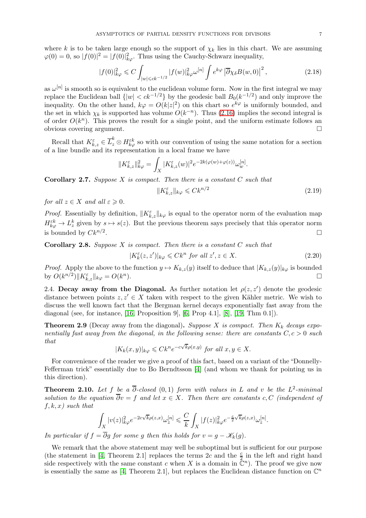where k is to be taken large enough so the support of  $\chi_k$  lies in this chart. We are assuming  $\varphi(0) = 0$ , so  $|f(0)|^2 = |f(0)|^2_{k\varphi}$ . Thus using the Cauchy-Schwarz inequality,

$$
|f(0)|_{k\varphi}^2 \leqslant C \int_{|w| \leqslant ck^{-1/2}} |f(w)|_{k\varphi}^2 \omega^{[n]} \int e^{k\varphi} \left| \overline{\partial} \chi_\delta B(w, 0) \right|^2, \tag{2.18}
$$

as  $\omega^{[n]}$  is smooth so is equivalent to the euclidean volume form. Now in the first integral we may replace the Euclidean ball  $\{|w| < ck^{-1/2}\}\$  by the geodesic ball  $B_0(k^{-1/2})$  and only improve the inequality. On the other hand,  $k\varphi = O(k|z|^2)$  on this chart so  $e^{k\varphi}$  is uniformly bounded, and the set in which  $\chi_k$  is supported has volume  $O(k^{-n})$ . Thus [\(2.16\)](#page-5-2) implies the second integral is of order  $O(k^n)$ . This proves the result for a single point, and the uniform estimate follows an obvious covering argument.

Recall that  $K_{k,z}^{\varepsilon} \in \overline{L}_z^k \otimes H_{k\varphi}^{\varepsilon k}$  so with our convention of using the same notation for a section of a line bundle and its representation in a local frame we have

$$
||K_{k,z}^{\varepsilon}||_{k\varphi}^2 = \int_X |K_{k,z}^{\varepsilon}(w)|^2 e^{-2k(\varphi(w)+\varphi(z))} \omega_w^{[n]}.
$$

<span id="page-6-3"></span>**Corollary 2.7.** Suppose X is compact. Then there is a constant  $C$  such that

<span id="page-6-4"></span>
$$
||K_{k,z}^{\varepsilon}||_{k\varphi} \leqslant Ck^{n/2} \tag{2.19}
$$

.

for all  $z \in X$  and all  $\varepsilon \geqslant 0$ .

*Proof.* Essentially by definition,  $||K_{k,z}^{\varepsilon}||_{k\varphi}$  is equal to the operator norm of the evaluation map  $H_{k\varphi}^{\varepsilon k} \to L_z^k$  given by  $s \mapsto s(z)$ . But the previous theorem says precisely that this operator norm is bounded by  $Ck^{n/2}$ . .

<span id="page-6-1"></span>**Corollary 2.8.** Suppose  $X$  is compact. Then there is a constant  $C$  such that

<span id="page-6-5"></span>
$$
|K_k^{\varepsilon}(z, z')|_{k\varphi} \leqslant Ck^n \text{ for all } z', z \in X. \tag{2.20}
$$

*Proof.* Apply the above to the function  $y \mapsto K_{k,z}(y)$  itself to deduce that  $|K_{k,z}(y)|_{k\varphi}$  is bounded by  $O(k^{n/2}) || K_{\varphi}^{\varepsilon} ||_{k\varphi} = O(k^n)$ . by  $O(k^{n/2}) \| K_{k,z}^{\varepsilon} \|_{k\varphi} = O(k^n)$ ).  $\Box$ 

2.4. Decay away from the Diagonal. As further notation let  $\rho(z, z')$  denote the geodesic distance between points  $z, z' \in X$  taken with respect to the given Kähler metric. We wish to discuss the well known fact that the Bergman kernel decays exponentially fast away from the diagonal (see, for instance, [\[16,](#page-34-7) Proposition 9], [\[6,](#page-34-8) Prop 4.1], [\[8\]](#page-34-9), [\[19,](#page-34-10) Thm 0.1]).

<span id="page-6-0"></span>**Theorem 2.9** (Decay away from the diagonal). Suppose X is compact. Then  $K_k$  decays exponentially fast away from the diagonal, in the following sense: there are constants  $C, c > 0$  such that

$$
|K_k(x,y)|_{k\varphi} \leqslant Ck^n e^{-c\sqrt{k}\rho(x,y)} \text{ for all } x,y \in X.
$$

For convenience of the reader we give a proof of this fact, based on a variant of the "Donnelly-Fefferman trick" essentially due to Bo Berndtsson [\[4\]](#page-33-2) (and whom we thank for pointing us in this direction).

<span id="page-6-2"></span>**Theorem 2.10.** Let f be a  $\overline{\partial}$ -closed  $(0,1)$  form with values in L and v be the L<sup>2</sup>-minimal solution to the equation  $\overline{\partial}v = f$  and let  $x \in X$ . Then there are constants c, C (independent of  $f, k, x$ ) such that

$$
\int_X |v(z)|_{k\varphi}^2 e^{-2c\sqrt{k}\rho(z,x)} \omega_z^{[n]} \leq \frac{C}{k} \int_X |f(z)|_{k\varphi}^2 e^{-\frac{c}{2}\sqrt{k}\rho(z,x)} \omega_z^{[n]}
$$

In particular if  $f = \overline{\partial}g$  for some g then this holds for  $v = g - \mathscr{K}_k(g)$ .

We remark that the above statement may well be suboptimal but is sufficient for our purpose (the statement in [\[4,](#page-33-2) Theorem 2.1] replaces the terms 2c and the  $\frac{c}{2}$  in the left and right hand side respectively with the same constant c when X is a domain in  $\mathbb{C}^n$ ). The proof we give now is essentially the same as [\[4,](#page-33-2) Theorem 2.1], but replaces the Euclidean distance function on  $\mathbb{C}^n$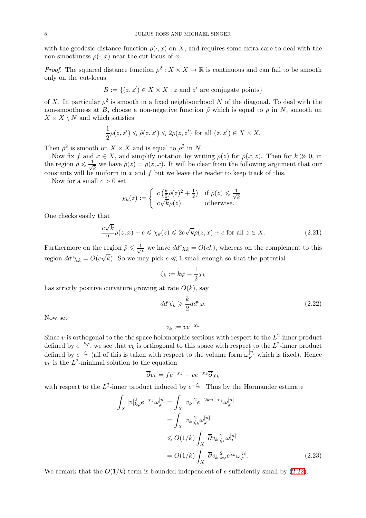with the geodesic distance function  $\rho(\cdot, x)$  on X, and requires some extra care to deal with the non-smoothness  $\rho(\cdot, x)$  near the cut-locus of x.

*Proof.* The squared distance function  $\rho^2 : X \times X \to \mathbb{R}$  is continuous and can fail to be smooth only on the cut-locus

$$
B := \{(z, z') \in X \times X : z \text{ and } z' \text{ are conjugate points}\}
$$

of X. In particular  $\rho^2$  is smooth in a fixed neighbourhood N of the diagonal. To deal with the non-smoothness at B, choose a non-negative function  $\tilde{\rho}$  which is equal to  $\rho$  in N, smooth on  $X \times X \setminus N$  and which satisfies

$$
\frac{1}{2}\rho(z,z') \leq \tilde{\rho}(z,z') \leq 2\rho(z,z') \text{ for all } (z,z') \in X \times X.
$$

Then  $\tilde{\rho}^2$  is smooth on  $X \times X$  and is equal to  $\rho^2$  in N.

Now fix f and  $x \in X$ , and simplify notation by writing  $\tilde{\rho}(z)$  for  $\tilde{\rho}(x, z)$ . Then for  $k \gg 0$ , in the region  $\tilde{\rho} \leqslant \frac{1}{\sqrt{2}}$  $\frac{\overline{k}}{k}$  we have  $\tilde{\rho}(z) = \rho(z, x)$ . It will be clear from the following argument that our constants will be uniform in  $x$  and  $f$  but we leave the reader to keep track of this.

Now for a small  $c > 0$  set

$$
\chi_k(z) := \begin{cases} c\left(\frac{k}{2}\tilde{\rho}(z)^2 + \frac{1}{2}\right) & \text{if } \tilde{\rho}(z) \leq \frac{1}{\sqrt{k}}\\ c\sqrt{k}\tilde{\rho}(z) & \text{otherwise.} \end{cases}
$$

One checks easily that

<span id="page-7-2"></span>
$$
\frac{c\sqrt{k}}{2}\rho(z,x) - c \le \chi_k(z) \le 2c\sqrt{k}\rho(z,x) + c \text{ for all } z \in X.
$$
 (2.21)

Furthermore on the region  $\tilde{\rho} \leqslant \frac{1}{\sqrt{2}}$  $\frac{1}{k}$  we have  $dd^c \chi_k = O(ck)$ , whereas on the complement to this region  $dd^c \chi_k = O(c\sqrt{k})$ . So we may pick  $c \ll 1$  small enough so that the potential

$$
\zeta_k:=k\varphi-\frac{1}{2}\chi_k
$$

has strictly positive curvature growing at rate  $O(k)$ , say

<span id="page-7-0"></span>
$$
dd^c \zeta_k \geqslant \frac{k}{2} dd^c \varphi. \tag{2.22}
$$

Now set

$$
v_k := v e^{-\chi_k}
$$

Since  $v$  is orthogonal to the the space holomorphic sections with respect to the  $L^2$ -inner product defined by  $e^{-k\varphi}$ , we see that  $v_k$  is orthogonal to this space with respect to the  $L^2$ -inner product defined by  $e^{-\zeta_k}$  (all of this is taken with respect to the volume form  $\omega_{\varphi}^{[n]}$  which is fixed). Hence  $v_k$  is the  $L^2$ -minimal solution to the equation

<span id="page-7-1"></span>
$$
\overline{\partial}v_k = f e^{-\chi_k} - v e^{-\chi_k}\overline{\partial}\chi_k
$$

with respect to the  $L^2$ -inner product induced by  $e^{-\zeta_k}$ . Thus by the Hörmander estimate

$$
\int_X |v|_{k\varphi}^2 e^{-\chi_k} \omega_{\varphi}^{[n]} = \int_X |v_k|^2 e^{-2k\varphi + \chi_k} \omega_{\varphi}^{[n]}
$$
\n
$$
= \int_X |v_k|_{\zeta_k}^2 \omega_{\varphi}^{[n]}
$$
\n
$$
\leq O(1/k) \int_X |\overline{\partial}v_k|_{\zeta_k}^2 \omega_{\varphi}^{[n]}
$$
\n
$$
= O(1/k) \int_X |\overline{\partial}v_k|_{k\varphi}^2 e^{\chi_k} \omega_{\varphi}^{[n]}.
$$
\n(2.23)

We remark that the  $O(1/k)$  term is bounded independent of c sufficiently small by [\(2.22\)](#page-7-0).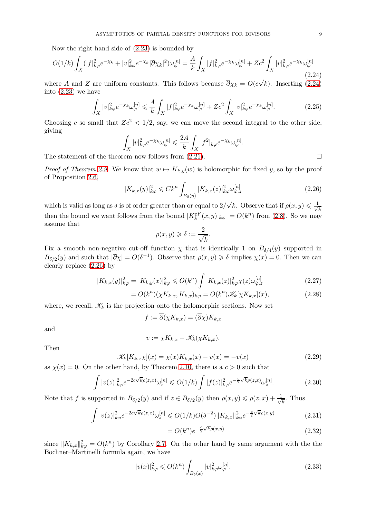Now the right hand side of [\(2.23\)](#page-7-1) is bounded by

<span id="page-8-0"></span>
$$
O(1/k)\int_{X} (|f|^2_{k\varphi}e^{-\chi_k} + |v|^2_{k\varphi}e^{-\chi_k}|\overline{\partial}\chi_k|^2)\omega_{\varphi}^{[n]} = \frac{A}{k}\int_{X} |f|^2_{k\varphi}e^{-\chi_k}\omega_{\varphi}^{[n]} + Ze^2\int_{X} |v|^2_{k\varphi}e^{-\chi_k}\omega_{\varphi}^{[n]} \tag{2.24}
$$

where A and Z are uniform constants. This follows because  $\overline{\partial}\chi_k = O(c\sqrt{k})$ . Inserting [\(2.24\)](#page-8-0) into [\(2.23\)](#page-7-1) we have

$$
\int_X |v|_{k\varphi}^2 e^{-\chi_k} \omega_{\varphi}^{[n]} \leq \frac{A}{k} \int_X |f|_{k\varphi}^2 e^{-\chi_k} \omega_{\varphi}^{[n]} + Zc^2 \int_X |v|_{k\varphi}^2 e^{-\chi_k} \omega_{\varphi}^{[n]}.
$$
\n(2.25)

Choosing c so small that  $Zc^2 < 1/2$ , say, we can move the second integral to the other side, giving

$$
\int_X |v|_{k\varphi}^2 e^{-\chi_k} \omega_{\varphi}^{[n]} \leq \frac{2A}{k} \int_X |f^2|_{k\varphi} e^{-\chi_k} \omega_{\varphi}^{[n]}.
$$

The statement of the theorem now follows from  $(2.21)$ .

*Proof of Theorem [2.9.](#page-6-0)* We know that  $w \mapsto K_{k,y}(w)$  is holomorphic for fixed y, so by the proof of Proposition [2.6,](#page-5-0)

<span id="page-8-1"></span>
$$
|K_{k,x}(y)|_{k\varphi}^2 \leq C k^n \int_{B_\delta(y)} |K_{k,x}(z)|_{k\varphi}^2 \omega_{\varphi,z}^{[n]} \tag{2.26}
$$

which is valid as long as  $\delta$  is of order greater than or equal to  $2/\sqrt{k}$ . Observe that if  $\rho(x, y) \leq \frac{1}{\sqrt{k}}$ then the bound we want follows from the bound  $|K_k^{\varepsilon Y}(x,y)|_{k\varphi} = O(k^n)$  from [\(2.8\)](#page-6-1). So we may assume that

<span id="page-8-2"></span>
$$
\rho(x,y) \geqslant \delta := \frac{2}{\sqrt{k}}.
$$

Fix a smooth non-negative cut-off function  $\chi$  that is identically 1 on  $B_{\delta/4}(y)$  supported in  $B_{\delta/2}(y)$  and such that  $|\overline{\partial}\chi| = O(\delta^{-1})$ . Observe that  $\rho(x, y) \geq \delta$  implies  $\chi(x) = 0$ . Then we can clearly replace [\(2.26\)](#page-8-1) by

$$
|K_{k,x}(y)|_{k\varphi}^2 = |K_{k,y}(x)|_{k\varphi}^2 \le O(k^n) \int |K_{k,x}(z)|_{k\varphi}^2 \chi(z) \omega_{\varphi,z}^{[n]} \tag{2.27}
$$

$$
= O(k^n)(\chi K_{k,x}, K_{k,x})_{k\varphi} = O(k^n)\mathscr{K}_k[\chi K_{k,x}](x),\tag{2.28}
$$

where, we recall,  $\mathscr{K}_k$  is the projection onto the holomorphic sections. Now set

$$
f := \overline{\partial}(\chi K_{k,x}) = (\overline{\partial}\chi)K_{k,x}
$$

and

$$
v := \chi K_{k,x} - \mathscr{K}_k(\chi K_{k,x}).
$$

Then

<span id="page-8-3"></span>
$$
\mathscr{K}_k[K_{k,x} \chi](x) = \chi(x) K_{k,x}(x) - v(x) = -v(x) \tag{2.29}
$$

as  $\chi(x) = 0$ . On the other hand, by Theorem [2.10,](#page-6-2) there is a  $c > 0$  such that

$$
\int |v(z)|_{k\varphi}^2 e^{-2c\sqrt{k}\rho(z,x)} \omega_z^{[n]} \le O(1/k) \int |f(z)|_{k\varphi}^2 e^{-\frac{c}{2}\sqrt{k}\rho(z,x)} \omega_z^{[n]}.
$$
 (2.30)

Note that f is supported in  $B_{\delta/2}(y)$  and if  $z \in B_{\delta/2}(y)$  then  $\rho(x, y) \leq \rho(z, x) + \frac{1}{\sqrt{2\pi}}$  $\frac{1}{\overline{k}}$ . Thus

$$
\int |v(z)|_{k\varphi}^2 e^{-2c\sqrt{k}\rho(z,x)} \omega_z^{[n]} \leqslant O(1/k)O(\delta^{-2}) \|K_{k,x}\|_{k\varphi}^2 e^{-\frac{c}{2}\sqrt{k}\rho(x,y)}
$$
(2.31)

$$
=O(k^n)e^{-\frac{c}{2}\sqrt{k}\rho(x,y)}
$$
\n
$$
(2.32)
$$

since  $||K_{k,x}||_{k\varphi}^2 = O(k^n)$  by Corollary [2.7.](#page-6-3) On the other hand by same argument with the the Bochner–Martinelli formula again, we have

$$
|v(x)|_{k\varphi}^2 \leqslant O(k^n) \int_{B_\delta(x)} |v|_{k\varphi}^2 \omega_{\varphi}^{[n]}.
$$
\n(2.33)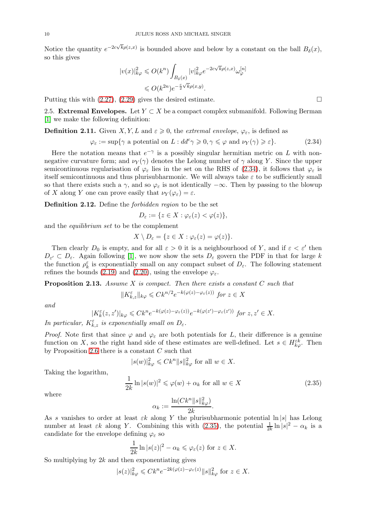Notice the quantity  $e^{-2c\sqrt{k}\rho(z,x)}$  is bounded above and below by a constant on the ball  $B_{\delta}(x)$ , so this gives

$$
|v(x)|_{k\varphi}^2 \leqslant O(k^n) \int_{B_\delta(x)} |v|_{k\varphi}^2 e^{-2c\sqrt{k}\rho(z,x)} \omega_{\varphi}^{[n]}
$$

$$
\leqslant O(k^{2n})e^{-\frac{c}{2}\sqrt{k}\rho(x,y)}.
$$

Putting this with  $(2.27), (2.29)$  $(2.27), (2.29)$  gives the desired estimate.

2.5. Extremal Envelopes. Let  $Y \subset X$  be a compact complex submanifold. Following Berman [\[1\]](#page-33-1) we make the following definition:

# <span id="page-9-2"></span>**Definition 2.11.** Given X, Y, L and  $\varepsilon \geq 0$ , the extremal envelope,  $\varphi_{\varepsilon}$ , is defined as

<span id="page-9-0"></span>
$$
\varphi_{\varepsilon} := \sup \{ \gamma \text{ a potential on } L : dd^c \gamma \geqslant 0, \gamma \leqslant \varphi \text{ and } \nu_Y(\gamma) \geqslant \varepsilon \}. \tag{2.34}
$$

Here the notation means that  $e^{-\gamma}$  is a possibly singular hermitian metric on L with nonnegative curvature form; and  $\nu_Y(\gamma)$  denotes the Lelong number of  $\gamma$  along Y. Since the upper semicontinuous regularisation of  $\varphi_{\varepsilon}$  lies in the set on the RHS of [\(2.34\)](#page-9-0), it follows that  $\varphi_{\varepsilon}$  is itself semicontinuous and thus plurisubharmonic. We will always take  $\varepsilon$  to be sufficiently small so that there exists such a  $\gamma$ , and so  $\varphi_{\varepsilon}$  is not identically  $-\infty$ . Then by passing to the blowup of X along Y one can prove easily that  $\nu_Y(\varphi_\varepsilon) = \varepsilon$ .

Definition 2.12. Define the forbidden region to be the set

$$
D_{\varepsilon} := \{ z \in X : \varphi_{\varepsilon}(z) < \varphi(z) \},
$$

and the equilibrium set to be the complement

$$
X\setminus D_{\varepsilon}=\{z\in X:\varphi_{\varepsilon}(z)=\varphi(z)\}.
$$

Then clearly  $D_0$  is empty, and for all  $\varepsilon > 0$  it is a neighbourhood of Y, and if  $\varepsilon < \varepsilon'$  then  $D_{\varepsilon} \subset D_{\varepsilon}$ . Again following [\[1\]](#page-33-1), we now show the sets  $D_{\varepsilon}$  govern the PDF in that for large k the function  $\rho_k^{\varepsilon}$  is exponentially small on any compact subset of  $D_{\varepsilon}$ . The following statement refines the bounds [\(2.19\)](#page-6-4) and [\(2.20\)](#page-6-5), using the envelope  $\varphi_{\varepsilon}$ .

<span id="page-9-3"></span>**Proposition 2.13.** Assume X is compact. Then there exists a constant  $C$  such that

$$
||K_{k,z}^{\varepsilon}||_{k\varphi} \leq C k^{n/2} e^{-k(\varphi(z) - \varphi_{\varepsilon}(z))} \text{ for } z \in X
$$

and

$$
|K_k^{\varepsilon}(z, z')|_{k\varphi} \leqslant C k^n e^{-k(\varphi(z) - \varphi_{\varepsilon}(z))} e^{-k(\varphi(z') - \varphi_{\varepsilon}(z'))} \text{ for } z, z' \in X.
$$

In particular,  $K_{k,z}^{\varepsilon}$  is exponentially small on  $D_{\varepsilon}$ .

*Proof.* Note first that since  $\varphi$  and  $\varphi_{\varepsilon}$  are both potentials for L, their difference is a genuine function on X, so the right hand side of these estimates are well-defined. Let  $s \in H_{k\varphi}^{\varepsilon k}$ . Then by Proposition [2.6](#page-5-0) there is a constant  $C$  such that

$$
|s(w)|_{k\varphi}^2 \leqslant Ck^n \|s\|_{k\varphi}^2 \text{ for all } w \in X.
$$

Taking the logarithm,

<span id="page-9-1"></span>
$$
\frac{1}{2k} \ln |s(w)|^2 \leq \varphi(w) + \alpha_k \text{ for all } w \in X
$$
\n(2.35)

where

$$
\alpha_k := \frac{\ln(Ck^n \|s\|_{k\varphi}^2)}{2k}.
$$

As s vanishes to order at least  $\varepsilon k$  along Y the plurisubharmonic potential  $\ln |s|$  has Lelong number at least  $\varepsilon k$  along Y. Combining this with [\(2.35\)](#page-9-1), the potential  $\frac{1}{2k} \ln |s|^2 - \alpha_k$  is a candidate for the envelope defining  $\varphi_{\varepsilon}$  so

$$
\frac{1}{2k} \ln |s(z)|^2 - \alpha_k \leq \varphi_{\varepsilon}(z) \text{ for } z \in X.
$$

So multiplying by  $2k$  and then exponentiating gives

$$
|s(z)|_{k\varphi}^2 \leqslant C k^n e^{-2k(\varphi(z) - \varphi_{\varepsilon}(z)} \|s\|_{k\varphi}^2 \text{ for } z \in X.
$$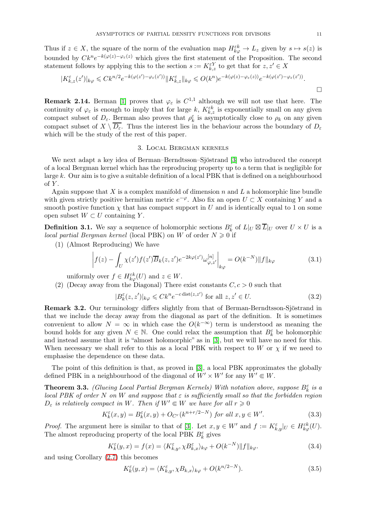Thus if  $z \in X$ , the square of the norm of the evaluation map  $H_{k\varphi}^{\varepsilon k} \to L_z$  given by  $s \mapsto s(z)$  is bounded by  $C k^n e^{-k(\varphi(z) - \varphi_{\varepsilon}(z))}$  which gives the first statement of the Proposition. The second statement follows by applying this to the section  $s := K_{k,z}^{\varepsilon Y}$  to get that for  $z, z' \in X$ 

$$
|K_{k,z}^{\varepsilon}(z')|_{k\varphi} \leq C k^{n/2} e^{-k(\varphi(z')-\varphi_{\varepsilon}(z'))} \|K_{k,z}^{\varepsilon}\|_{k\varphi} \leqslant O(k^n) e^{-k(\varphi(z)-\varphi_{\varepsilon}(z))} e^{-k(\varphi(z')-\varphi_{\varepsilon}(z'))}.
$$

**Remark 2.14.** Berman [\[1\]](#page-33-1) proves that  $\varphi_{\varepsilon}$  is  $C^{1,1}$  although we will not use that here. The continuity of  $\varphi_{\varepsilon}$  is enough to imply that for large k,  $K_{k,z}^{\varepsilon k}$  is exponentially small on any given compact subset of  $D_{\varepsilon}$ . Berman also proves that  $\rho_k^{\varepsilon}$  is asymptotically close to  $\rho_k$  on any given compact subset of  $X \setminus \overline{D_{\varepsilon}}$ . Thus the interest lies in the behaviour across the boundary of  $D_{\varepsilon}$ which will be the study of the rest of this paper.

#### 3. Local Bergman kernels

We next adapt a key idea of Berman–Berndtsson–Sjöstrand [\[3\]](#page-33-3) who introduced the concept of a local Bergman kernel which has the reproducing property up to a term that is negligible for large k. Our aim is to give a suitable definition of a local PBK that is defined on a neighbourhood of  $Y$ .

Again suppose that X is a complex manifold of dimension  $n$  and L a holomorphic line bundle with given strictly positive hermitian metric  $e^{-\varphi}$ . Also fix an open  $U \subset X$  containing Y and a smooth postive function  $\chi$  that has compact support in U and is identically equal to 1 on some open subset  $W \subset U$  containing Y.

<span id="page-10-0"></span>**Definition 3.1.** We say a sequence of holomorphic sections  $B_k^{\varepsilon}$  of  $L|_U \boxtimes \overline{L}|_U$  over  $U \times U$  is a local partial Bergman kernel (local PBK) on W of order  $N \geq 0$  if

(1) (Almost Reproducing) We have

$$
\left| f(z) - \int_U \chi(z') f(z') \overline{B}_k(z, z') e^{-2k\varphi(z')} \omega_{\varphi, z'}^{[n]} \right|_{k\varphi} = O(k^{-N}) \|f\|_{k\varphi}
$$
\n(3.1)

uniformly over  $f \in H_{k\varphi}^{\varepsilon k}(U)$  and  $z \in W$ .

(2) (Decay away from the Diagonal) There exist constants  $C, c > 0$  such that

$$
|B_k^{\varepsilon}(z, z')|_{k\varphi} \leqslant C k^n e^{-c \operatorname{dist}(z, z')} \text{ for all } z, z' \in U. \tag{3.2}
$$

Remark 3.2. Our terminology differs slightly from that of Berman-Berndtsson-Sjöstrand in that we include the decay away from the diagonal as part of the definition. It is sometimes convenient to allow  $N = \infty$  in which case the  $O(k^{-\infty})$  term is understood as meaning the bound holds for any given  $N \in \mathbb{N}$ . One could relax the assumption that  $B_k^{\varepsilon}$  be holomorphic and instead assume that it is "almost holomorphic" as in [\[3\]](#page-33-3), but we will have no need for this. When necessary we shall refer to this as a local PBK with respect to W or  $\chi$  if we need to emphasise the dependence on these data.

The point of this definition is that, as proved in [\[3\]](#page-33-3), a local PBK approximates the globally defined PBK in a neighbourhood of the diagonal of  $W' \times W'$  for any  $W' \in W$ .

<span id="page-10-1"></span>**Theorem 3.3.** (Glueing Local Partial Bergman Kernels) With notation above, suppose  $B_k^{\varepsilon}$  is a local PBK of order N on W and suppose that  $\varepsilon$  is sufficiently small so that the forbidden region  $D_{\varepsilon}$  is relatively compact in W. Then if  $W' \in W$  we have for all  $r \geq 0$ 

$$
K_k^{\varepsilon}(x, y) = B_k^{\varepsilon}(x, y) + O_{C^r}(k^{n+r/2-N}) \text{ for all } x, y \in W'. \tag{3.3}
$$

*Proof.* The argument here is similar to that of [\[3\]](#page-33-3). Let  $x, y \in W'$  and  $f := K_{k,y}^{\varepsilon} |_{U} \in H_{k,\varphi}^{\varepsilon k}(U)$ . The almost reproducing property of the local PBK  $B_k^\varepsilon$  gives

$$
K_k^{\varepsilon}(y,x) = f(x) = \langle K_{k,y}^{\varepsilon}, \chi B_{k,x}^{\varepsilon} \rangle_{k\varphi} + O(k^{-N}) \| f \|_{k\varphi}.
$$
\n(3.4)

and using Corollary [\(2.7\)](#page-6-3) this becomes

$$
K_k^{\varepsilon}(y,x) = \langle K_{k,y}^{\varepsilon}, \chi B_{k,x} \rangle_{k\varphi} + O(k^{n/2-N}).
$$
\n(3.5)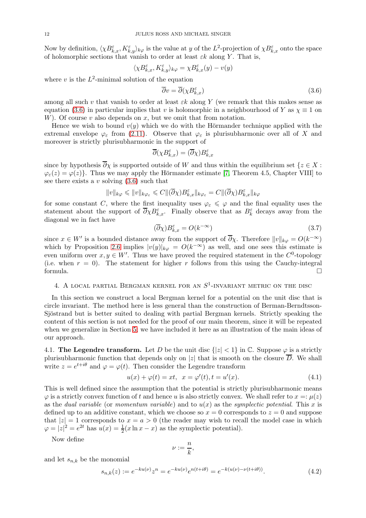Now by definition,  $\langle \chi B_{k,x}^{\varepsilon}, K_{k,y}^{\varepsilon} \rangle_{k\varphi}$  is the value at y of the  $L^2$ -projection of  $\chi B_{k,x}^{\varepsilon}$  onto the space of holomorphic sections that vanish to order at least  $\varepsilon k$  along Y. That is,

$$
\langle \chi B_{k,x}^\varepsilon, K_{k,y}^\varepsilon\rangle_{k\varphi}=\chi B_{k,x}^\varepsilon(y)-v(y)
$$

where  $v$  is the  $L^2$ -minimal solution of the equation

<span id="page-11-0"></span>
$$
\overline{\partial}v = \overline{\partial}(\chi B_{k,x}^{\varepsilon})
$$
\n(3.6)

among all such v that vanish to order at least  $\varepsilon k$  along Y (we remark that this makes sense as equation [\(3.6\)](#page-11-0) in particular implies that v is holomorphic in a neighbourhood of Y as  $\chi \equiv 1$  on W). Of course  $v$  also depends on  $x$ , but we omit that from notation.

Hence we wish to bound  $v(y)$  which we do with the Hörmander technique applied with the extremal envelope  $\varphi_{\varepsilon}$  from [\(2.11\)](#page-9-2). Observe that  $\varphi_{\varepsilon}$  is plurisubharmonic over all of X and moreover is strictly plurisubharmonic in the support of

$$
\overline{\partial}(\chi B_{k,x}^\varepsilon)=(\overline{\partial}\chi)B_{k,x}^\varepsilon
$$

since by hypothesis  $\overline{\partial}_X$  is supported outside of W and thus within the equilibrium set  $\{z \in X :$  $\varphi_{\varepsilon}(z) = \varphi(z)$ . Thus we may apply the Hörmander estimate [\[7,](#page-34-11) Theorem 4.5, Chapter VIII] to see there exists a v solving  $(3.6)$  such that

$$
||v||_{k\varphi} \leq ||v||_{k\varphi_{\varepsilon}} \leq C ||(\overline{\partial}\chi)B_{k,x}^{\varepsilon}||_{k\varphi_{\varepsilon}} = C ||(\overline{\partial}\chi)B_{k,x}^{\varepsilon}||_{k\varphi}
$$

for some constant C, where the first inequality uses  $\varphi_{\varepsilon} \leq \varphi$  and the final equality uses the statement about the support of  $\overline{\partial}\chi B_{k,x}^{\varepsilon}$ . Finally observe that as  $B_k^{\varepsilon}$  decays away from the diagonal we in fact have

<span id="page-11-1"></span>
$$
(\overline{\partial}\chi)B_{k,x}^{\varepsilon} = O(k^{-\infty})
$$
\n(3.7)

since  $x \in W'$  is a bounded distance away from the support of  $\partial \chi$ . Therefore  $||v||_{k\varphi} = O(k^{-\infty})$ which by Proposition [2.6](#page-5-0) implies  $|v(y)|_{k\varphi} = O(k^{-\infty})$  as well, and one sees this estimate is even uniform over  $x, y \in W'$ . Thus we have proved the required statement in the  $C^0$ -topology (i.e. when  $r = 0$ ). The statement for higher r follows from this using the Cauchy-integral formula.  $\Box$ 

# 4. A LOCAL PARTIAL BERGMAN KERNEL FOR AN  $S^1$ -INVARIANT METRIC ON THE DISC

In this section we construct a local Bergman kernel for a potential on the unit disc that is circle invariant. The method here is less general than the construction of Berman-Berndtsson-Sjöstrand but is better suited to dealing with partial Bergman kernels. Strictly speaking the content of this section is not needed for the proof of our main theorem, since it will be repeated when we generalize in Section [5;](#page-13-0) we have included it here as an illustration of the main ideas of our approach.

4.1. The Legendre transform. Let D be the unit disc  $\{|z| < 1\}$  in C. Suppose  $\varphi$  is a strictly plurisubharmonic function that depends only on |z| that is smooth on the closure  $\overline{D}$ . We shall write  $z = e^{t+i\theta}$  and  $\varphi = \varphi(t)$ . Then consider the Legendre transform

$$
u(x) + \varphi(t) = xt, \ \ x = \varphi'(t), t = u'(x). \tag{4.1}
$$

This is well defined since the assumption that the potential is strictly plurisubharmonic means  $\varphi$  is a strictly convex function of t and hence u is also strictly convex. We shall refer to  $x =: \mu(z)$ as the dual variable (or momentum variable) and to  $u(x)$  as the symplectic potential. This x is defined up to an additive constant, which we choose so  $x = 0$  corresponds to  $z = 0$  and suppose that  $|z| = 1$  corresponds to  $x = a > 0$  (the reader may wish to recall the model case in which  $\varphi = |z|^2 = e^{2t}$  has  $u(x) = \frac{1}{2}(x \ln x - x)$  as the symplectic potential).

Now define

$$
\nu:=\frac{n}{k},
$$

and let  $s_{n,k}$  be the monomial

$$
s_{n,k}(z) := e^{-ku(\nu)}z^n = e^{-ku(\nu)}e^{n(t+i\theta)} = e^{-k(u(\nu) - \nu(t+i\theta))}.
$$
\n(4.2)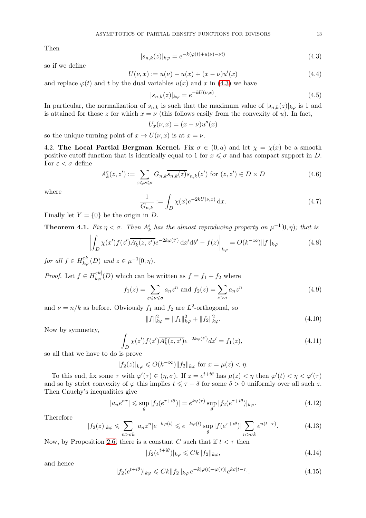Then

<span id="page-12-0"></span>
$$
|s_{n,k}(z)|_{k\varphi} = e^{-k(\varphi(t) + u(\nu) - \nu t)}
$$
\n(4.3)

so if we define

$$
U(\nu, x) := u(\nu) - u(x) + (x - \nu)u'(x)
$$
\n(4.4)

and replace  $\varphi(t)$  and t by the dual variables  $u(x)$  and x in [\(4.3\)](#page-12-0) we have

$$
|s_{n,k}(z)|_{k\varphi} = e^{-kU(\nu, x)}.
$$
\n(4.5)

In particular, the normalization of  $s_{n,k}$  is such that the maximum value of  $|s_{n,k}(z)|_{k\varphi}$  is 1 and is attained for those z for which  $x = \nu$  (this follows easily from the convexity of u). In fact,

$$
U_x(\nu, x) = (x - \nu)u''(x)
$$

so the unique turning point of  $x \mapsto U(\nu, x)$  is at  $x = \nu$ .

4.2. The Local Partial Bergman Kernel. Fix  $\sigma \in (0, a)$  and let  $\chi = \chi(x)$  be a smooth positive cutoff function that is identically equal to 1 for  $x \leq \sigma$  and has compact support in D. For  $\varepsilon < \sigma$  define

$$
A_k^{\varepsilon}(z, z') := \sum_{\varepsilon \leqslant \nu \leqslant \sigma} G_{n,k} \overline{s_{n,k}(z)} s_{n,k}(z') \text{ for } (z, z') \in D \times D \tag{4.6}
$$

where

$$
\frac{1}{G_{n,k}} := \int_D \chi(x) e^{-2kU(\nu, x)} dx.
$$
\n(4.7)

Finally let  $Y = \{0\}$  be the origin in D.

<span id="page-12-1"></span>**Theorem 4.1.** Fix  $\eta < \sigma$ . Then  $A_k^{\varepsilon}$  has the almost reproducing property on  $\mu^{-1}[0, \eta)$ ; that is

$$
\left| \int_{D} \chi(x') f(z') \overline{A_{k}^{\varepsilon}(z, z')} e^{-2k\varphi(t')} dx' d\theta' - f(z) \right|_{k\varphi} = O(k^{-\infty}) \|f\|_{k\varphi}
$$
\n(4.8)

for all  $f \in H_{k\varphi}^{\varepsilon k}(D)$  and  $z \in \mu^{-1}[0, \eta)$ .

*Proof.* Let  $f \in H_{k\varphi}^{\varepsilon k}(\mathcal{D})$  which can be written as  $f = f_1 + f_2$  where

$$
f_1(z) = \sum_{\varepsilon \leqslant \nu \leqslant \sigma} a_n z^n \text{ and } f_2(z) = \sum_{\nu > \sigma} a_n z^n \tag{4.9}
$$

and  $\nu = n/k$  as before. Obviously  $f_1$  and  $f_2$  are  $L^2$ -orthogonal, so

$$
||f||_{k\varphi}^2 = ||f_1||_{k\varphi}^2 + ||f_2||_{k\varphi}^2.
$$
\n(4.10)

Now by symmetry,

$$
\int_{D} \chi(z') f(z') \overline{A_{k}^{\varepsilon}(z, z')} e^{-2k\varphi(t')} dz' = f_1(z), \tag{4.11}
$$

so all that we have to do is prove

$$
|f_2(z)|_{k\varphi} \leqslant O(k^{-\infty}) \|f_2\|_{k\varphi} \text{ for } x = \mu(z) < \eta.
$$

To this end, fix some  $\tau$  with  $\varphi'(\tau) \in (\eta, \sigma)$ . If  $z = e^{t+i\theta}$  has  $\mu(z) < \eta$  then  $\varphi'(t) < \eta < \varphi'(\tau)$ and so by strict convexity of  $\varphi$  this implies  $t \leq \tau - \delta$  for some  $\delta > 0$  uniformly over all such z. Then Cauchy's inequalities give

$$
|a_n e^{n\tau}| \leq \sup_{\theta} |f_2(e^{\tau + i\theta})| = e^{k\varphi(\tau)} \sup_{\theta} |f_2(e^{\tau + i\theta})|_{k\varphi}.
$$
 (4.12)

Therefore

$$
|f_2(z)|_{k\varphi} \leq \sum_{n > \sigma k} |a_n z^n| e^{-k\varphi(t)} \leq e^{-k\varphi(t)} \sup_{\theta} |f(e^{\tau + i\theta})| \sum_{n > \sigma k} e^{n(t - \tau)}.
$$
 (4.13)

Now, by Proposition [2.6,](#page-5-0) there is a constant C such that if  $t < \tau$  then

$$
|f_2(e^{t+i\theta})|_{k\varphi} \leq C k \|f_2\|_{k\varphi},\tag{4.14}
$$

and hence

$$
|f_2(e^{t+i\theta})|_{k\varphi} \leq Ck||f_2||_{k\varphi}e^{-k[\varphi(t)-\varphi(\tau)]}e^{k\sigma[t-\tau]}.
$$
\n(4.15)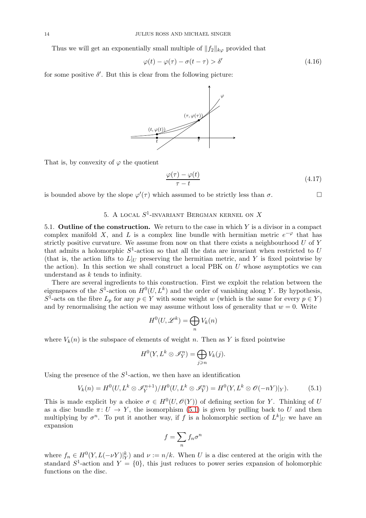Thus we will get an exponentially small multiple of  $||f_2||_{k\varphi}$  provided that

$$
\varphi(t) - \varphi(\tau) - \sigma(t - \tau) > \delta' \tag{4.16}
$$

for some positive  $\delta'$ . But this is clear from the following picture:



That is, by convexity of  $\varphi$  the quotient

$$
\frac{\varphi(\tau) - \varphi(t)}{\tau - t} \tag{4.17}
$$

<span id="page-13-0"></span>is bounded above by the slope  $\varphi'(\tau)$  which assumed to be strictly less than  $\sigma$ .

# 5. A local  $S^1$ -invariant Bergman kernel on  $X$

5.1. **Outline of the construction.** We return to the case in which  $Y$  is a divisor in a compact complex manifold X, and L is a complex line bundle with hermitian metric  $e^{-\varphi}$  that has strictly positive curvature. We assume from now on that there exists a neighbourhood  $U$  of  $Y$ that admits a holomorphic  $S^1$ -action so that all the data are invariant when restricted to U (that is, the action lifts to  $L|_U$  preserving the hermitian metric, and Y is fixed pointwise by the action). In this section we shall construct a local PBK on  $U$  whose asymptotics we can understand as k tends to infinity.

There are several ingredients to this construction. First we exploit the relation between the eigenspaces of the  $S^1$ -action on  $H^0(U, L^k)$  and the order of vanishing along Y. By hypothesis,  $S^1$ -acts on the fibre  $L_p$  for any  $p \in Y$  with some weight w (which is the same for every  $p \in Y$ ) and by renormalising the action we may assume without loss of generality that  $w = 0$ . Write

$$
H^0(U, \mathcal{L}^k) = \bigoplus_n V_k(n)
$$

where  $V_k(n)$  is the subspace of elements of weight n. Then as Y is fixed pointwise

$$
H^0(Y, L^k \otimes \mathscr{I}_Y^n) = \bigoplus_{j \geq n} V_k(j).
$$

Using the presence of the  $S^1$ -action, we then have an identification

<span id="page-13-1"></span>
$$
V_k(n) = H^0(U, L^k \otimes \mathcal{I}_Y^{n+1})/H^0(U, L^k \otimes \mathcal{I}_Y^n) = H^0(Y, L^k \otimes \mathcal{O}(-nY)|_Y). \tag{5.1}
$$

This is made explicit by a choice  $\sigma \in H^0(U, \mathcal{O}(Y))$  of defining section for Y. Thinking of U as a disc bundle  $\pi: U \to Y$ , the isomorphism [\(5.1\)](#page-13-1) is given by pulling back to U and then multiplying by  $\sigma^n$ . To put it another way, if f is a holomorphic section of  $L^k|_U$  we have an expansion

$$
f = \sum_n f_n \sigma^n
$$

where  $f_n \in H^0(Y, L(-\nu Y)|_Y^k)$  and  $\nu := n/k$ . When U is a disc centered at the origin with the standard  $S^1$ -action and  $Y = \{0\}$ , this just reduces to power series expansion of holomorphic functions on the disc.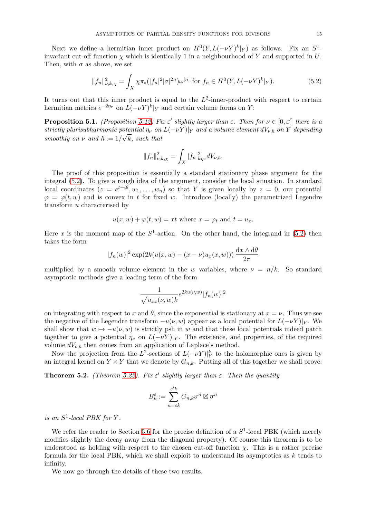Next we define a hermitian inner product on  $H^0(Y, L(-\nu Y)^k|_Y)$  as follows. Fix an  $S^1$ invariant cut-off function  $\chi$  which is identically 1 in a neighbourhood of Y and supported in U. Then, with  $\sigma$  as above, we set

<span id="page-14-0"></span>
$$
||f_n||_{\nu,k,\chi}^2 = \int_X \chi \pi_*(|f_n|^2 |\sigma|^{2n}) \omega^{[n]} \text{ for } f_n \in H^0(Y, L(-\nu Y)^k|_Y). \tag{5.2}
$$

It turns out that this inner product is equal to the  $L^2$ -inner-product with respect to certain hermitian metrics  $e^{-2\eta_{\nu}}$  on  $L(-\nu Y)^k|_Y$  and certain volume forms on Y:

**Proposition 5.1.** (Proposition [5.12\)](#page-18-0) Fix  $\varepsilon'$  slightly larger than  $\varepsilon$ . Then for  $\nu \in [0, \varepsilon']$  there is a strictly plurisubharmonic potential  $\eta_{\nu}$  on  $L(-\nu Y)|_Y$  and a volume element  $dV_{\nu,\hbar}$  on Y depending smoothly on  $\nu$  and  $\hbar := 1/\sqrt{k}$ , such that

$$
||f_n||_{\nu,k,\chi}^2 = \int_X |f_n|^2_{k\eta_\nu} dV_{\nu,\hbar}.
$$

The proof of this proposition is essentially a standard stationary phase argument for the integral [\(5.2\)](#page-14-0). To give a rough idea of the argument, consider the local situation. In standard local coordinates  $(z = e^{t+i\theta}, w_1, \ldots, w_n)$  so that Y is given locally by  $z = 0$ , our potential  $\varphi = \varphi(t, w)$  and is convex in t for fixed w. Introduce (locally) the parametrized Legendre transform u characterised by

$$
u(x, w) + \varphi(t, w) = xt
$$
 where  $x = \varphi_t$  and  $t = u_x$ .

Here x is the moment map of the  $S^1$ -action. On the other hand, the integrand in [\(5.2\)](#page-14-0) then takes the form

$$
|f_n(w)|^2 \exp(2k(u(x, w) - (x - \nu)u_x(x, w))) \frac{\mathrm{d}x \wedge \mathrm{d}\theta}{2\pi}
$$

multiplied by a smooth volume element in the w variables, where  $\nu = n/k$ . So standard asymptotic methods give a leading term of the form

$$
\frac{1}{\sqrt{u_{xx}(\nu, w)}k}e^{2ku(\nu, w)}|f_n(w)|^2
$$

on integrating with respect to x and  $\theta$ , since the exponential is stationary at  $x = \nu$ . Thus we see the negative of the Legendre transform  $-u(\nu, w)$  appear as a local potential for  $L(-\nu Y)|_Y$ . We shall show that  $w \mapsto -u(\nu, w)$  is strictly psh in w and that these local potentials indeed patch together to give a potential  $\eta_{\nu}$  on  $L(-\nu Y)|_Y$ . The existence, and properties, of the required volume  $dV_{\nu,\hbar}$  then comes from an application of Laplace's method.

Now the projection from the  $L^2$ -sections of  $L(-\nu Y)|_Y^k$  to the holomorphic ones is given by an integral kernel on  $Y \times Y$  that we denote by  $G_{n,k}$ . Putting all of this together we shall prove:

**Theorem 5.2.** (Theorem [5.22\)](#page-21-0). Fix  $\varepsilon'$  slightly larger than  $\varepsilon$ . Then the quantity

$$
B_k^{\varepsilon} := \sum_{n=\varepsilon k}^{\varepsilon' k} G_{n,k} \sigma^n \boxtimes \overline{\sigma}^n
$$

is an  $S^1$ -local PBK for Y.

We refer the reader to Section [5.6](#page-21-1) for the precise definition of a  $S^1$ -local PBK (which merely modifies slightly the decay away from the diagonal property). Of course this theorem is to be understood as holding with respect to the chosen cut-off function  $\chi$ . This is a rather precise formula for the local PBK, which we shall exploit to understand its asymptotics as  $k$  tends to infinity.

We now go through the details of these two results.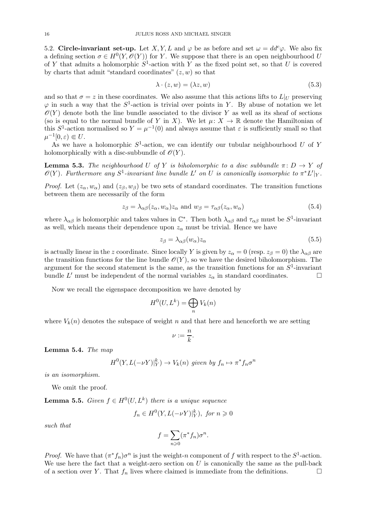5.2. Circle-invariant set-up. Let X, Y, L and  $\varphi$  be as before and set  $\omega = dd^c \varphi$ . We also fix a defining section  $\sigma \in H^0(Y, \mathcal{O}(Y))$  for Y. We suppose that there is an open neighbourhood U of Y that admits a holomorphic  $S^1$ -action with Y as the fixed point set, so that U is covered by charts that admit "standard coordinates"  $(z, w)$  so that

<span id="page-15-1"></span>
$$
\lambda \cdot (z, w) = (\lambda z, w) \tag{5.3}
$$

and so that  $\sigma = z$  in these coordinates. We also assume that this actions lifts to  $L|_U$  preserving  $\varphi$  in such a way that the  $S^1$ -action is trivial over points in Y. By abuse of notation we let  $\mathscr{O}(Y)$  denote both the line bundle associated to the divisor Y as well as its sheaf of sections (so is equal to the normal bundle of Y in X). We let  $\mu: X \to \mathbb{R}$  denote the Hamiltonian of this  $S^1$ -action normalised so  $Y = \mu^{-1}(0)$  and always assume that  $\varepsilon$  is sufficiently small so that  $\mu^{-1}[0,\varepsilon) \Subset U.$ 

As we have a holomorphic  $S^1$ -action, we can identify our tubular neighbourhood U of Y holomorphically with a disc-subbundle of  $\mathcal{O}(Y)$ .

**Lemma 5.3.** The neighbourhood U of Y is biholomorphic to a disc subbundle  $\pi: D \to Y$  of  $\mathscr{O}(Y)$ . Furthermore any  $S^1$ -invariant line bundle  $L'$  on  $U$  is canonically isomorphic to  $\pi^* L'|_Y$ .

*Proof.* Let  $(z_\alpha, w_\alpha)$  and  $(z_\beta, w_\beta)$  be two sets of standard coordinates. The transition functions between them are necessarily of the form

$$
z_{\beta} = \lambda_{\alpha\beta}(z_{\alpha}, w_{\alpha})z_{\alpha} \text{ and } w_{\beta} = \tau_{\alpha\beta}(z_{\alpha}, w_{\alpha})
$$
\n(5.4)

where  $\lambda_{\alpha\beta}$  is holomorphic and takes values in  $\mathbb{C}^*$ . Then both  $\lambda_{\alpha\beta}$  and  $\tau_{\alpha\beta}$  must be  $S^1$ -invariant as well, which means their dependence upon  $z_{\alpha}$  must be trivial. Hence we have

<span id="page-15-2"></span>
$$
z_{\beta} = \lambda_{\alpha\beta}(w_{\alpha})z_{\alpha} \tag{5.5}
$$

is actually linear in the z coordinate. Since locally Y is given by  $z_{\alpha} = 0$  (resp.  $z_{\beta} = 0$ ) the  $\lambda_{\alpha\beta}$  are the transition functions for the line bundle  $\mathcal{O}(Y)$ , so we have the desired biholomorphism. The argument for the second statement is the same, as the transition functions for an  $S^1$ -invariant bundle L' must be independent of the normal variables  $z_{\alpha}$  in standard coordinates.

Now we recall the eigenspace decomposition we have denoted by

$$
H^0(U, L^k) = \bigoplus_n V_k(n)
$$

where  $V_k(n)$  denotes the subspace of weight n and that here and henceforth we are setting

$$
\nu:=\frac{n}{k}.
$$

Lemma 5.4. The map

$$
H^{0}(Y, L(-\nu Y)|_{Y}^{k}) \to V_{k}(n) \text{ given by } f_{n} \mapsto \pi^{*} f_{n} \sigma^{n}
$$

is an isomorphism.

We omit the proof.

<span id="page-15-0"></span>**Lemma 5.5.** Given  $f \in H^0(U, L^k)$  there is a unique sequence

$$
f_n \in H^0(Y, L(-\nu Y)|_Y^k), \text{ for } n \geq 0
$$

such that

$$
f = \sum_{n\geqslant 0} (\pi^* f_n) \sigma^n.
$$

*Proof.* We have that  $(\pi^* f_n) \sigma^n$  is just the weight-n component of f with respect to the  $S^1$ -action. We use here the fact that a weight-zero section on  $U$  is canonically the same as the pull-back of a section over Y. That  $f_n$  lives where claimed is immediate from the definitions.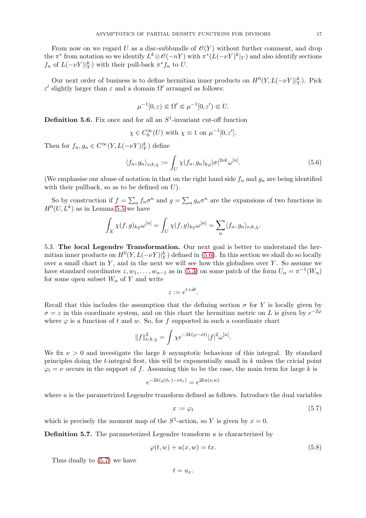From now on we regard U as a disc-subbundle of  $\mathcal{O}(Y)$  without further comment, and drop the  $\pi^*$  from notation so we identify  $L^k \otimes \mathscr{O}(-nY)$  with  $\pi^*(L(-\nu Y)^k|_Y)$  and also identify sections  $f_n$  of  $L(-\nu Y)|_Y^k$  with their pull-back  $\pi^* f_n$  to U.

Our next order of business is to define hermitian inner products on  $H^0(Y, L(-\nu Y)|_Y^k)$ . Pick ε' slightly larger than  $ε$  and a domain  $Ω'$  arranged as follows:

$$
\mu^{-1}[0,\varepsilon) \Subset \Omega' \Subset \mu^{-1}[0,\varepsilon') \Subset U.
$$

<span id="page-16-3"></span>**Definition 5.6.** Fix once and for all an  $S^1$ -invariant cut-off function

$$
\chi \in C_0^{\infty}(U)
$$
 with  $\chi \equiv 1$  on  $\mu^{-1}[0, \varepsilon']$ .

Then for  $f_n, g_n \in C^\infty(Y, L(-\nu Y)|_Y^k)$  define

<span id="page-16-0"></span>
$$
\langle f_n, g_n \rangle_{\nu,k,\chi} := \int_U \chi(f_n, g_n)_{k\varphi} |\sigma|^{2\nu k} \omega^{[n]}.
$$
 (5.6)

(We emphasise our abuse of notation in that on the right hand side  $f_n$  and  $g_n$  are being identified with their pullback, so as to be defined on  $U$ ).

So by construction if  $f = \sum_n f_n \sigma^n$  and  $g = \sum_n g_n \sigma^n$  are the expansions of two functions in  $H^0(U, L^k)$  as in Lemma [5.5](#page-15-0) we have

$$
\int_X \chi(f,g)_{k\varphi}\omega^{[n]} = \int_U \chi(f,g)_{k\varphi}\omega^{[n]} = \sum_n \langle f_n, g_n \rangle_{\nu,k,\chi}.
$$

5.3. The local Legendre Transformation. Our next goal is better to understand the hermitian inner products on  $H^0(Y, L(-\nu Y)|_Y^k)$  defined in [\(5.6\)](#page-16-0). In this section we shall do so locally over a small chart in  $Y$ , and in the next we will see how this globalises over  $Y$ . So assume we have standard coordinates  $z, w_1, \ldots, w_{n-1}$  as in [\(5.3\)](#page-15-1) on some patch of the form  $U_\alpha = \pi^{-1}(W_\alpha)$ for some open subset  $W_{\alpha}$  of Y and write

$$
z := e^{t + i\theta}.
$$

Recall that this includes the assumption that the defining section  $\sigma$  for Y is locally given by  $\sigma = z$  in this coordinate system, and on this chart the hermitian metric on L is given by  $e^{-2\varphi}$ where  $\varphi$  is a function of t and w. So, for f supported in such a coordinate chart

$$
||f||_{\nu,k,\chi}^2 = \int \chi e^{-2k(\varphi - \nu t)} |f|^2 \omega^{[n]}.
$$

We fix  $\nu > 0$  and investigate the large k asymptotic behaviour of this integral. By standard principles doing the t-integral first, this will be exponentially small in k unless the cricial point  $\varphi_t = \nu$  occurs in the support of f. Assuming this to be the case, the main term for large k is

$$
e^{-2k(\varphi(t_\nu)-\nu t_\nu)} = e^{2ku(\nu,w)}
$$

where  $u$  is the parametrized Legendre transform defined as follows. Introduce the dual variables

<span id="page-16-1"></span>
$$
x := \varphi_t \tag{5.7}
$$

which is precisely the moment map of the  $S^1$ -action, so Y is given by  $x = 0$ .

**Definition 5.7.** The parameterized Legendre transform  $u$  is characterized by

<span id="page-16-2"></span>
$$
\varphi(t, w) + u(x, w) = tx.
$$
\n(5.8)

Thus dually to [\(5.7\)](#page-16-1) we have

$$
t=u_x.
$$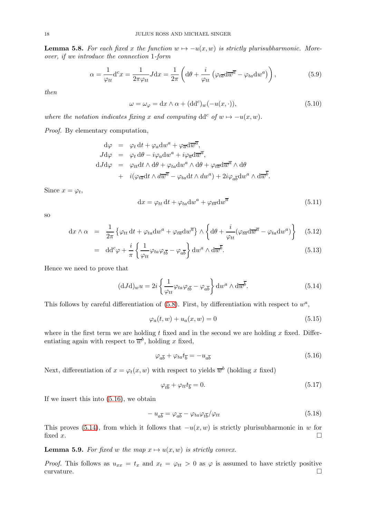<span id="page-17-2"></span>**Lemma 5.8.** For each fixed x the function  $w \mapsto -u(x, w)$  is strictly plurisubharmonic. Moreover, if we introduce the connection 1-form

$$
\alpha = \frac{1}{\varphi_{tt}} d^c x = \frac{1}{2\pi \varphi_{tt}} J dx = \frac{1}{2\pi} \left( d\theta + \frac{i}{\varphi_{tt}} \left( \varphi_{t\overline{a}} d\overline{w}^{\overline{a}} - \varphi_{ta} dw^a \right) \right),\tag{5.9}
$$

then

$$
\omega = \omega_{\varphi} = dx \wedge \alpha + (dd^c)_w(-u(x, \cdot)), \qquad (5.10)
$$

where the notation indicates fixing x and computing dd<sup>c</sup> of  $w \mapsto -u(x, w)$ .

Proof. By elementary computation,

$$
d\varphi = \varphi_t dt + \varphi_a dw^a + \varphi_{\overline{a}} d\overline{w}^{\overline{a}},
$$
  
\n
$$
Jd\varphi = \varphi_t d\theta - i\varphi_a dw^a + i\varphi_{\overline{a}} d\overline{w}^{\overline{a}},
$$
  
\n
$$
dJd\varphi = \varphi_{tt} dt \wedge d\theta + \varphi_{ta} dw^a \wedge d\theta + \varphi_{t\overline{a}} d\overline{w}^{\overline{a}} \wedge d\theta
$$
  
\n
$$
+ i(\varphi_{t\overline{a}} dt \wedge d\overline{w}^{\overline{a}} - \varphi_{ta} dt \wedge dw^a) + 2i\varphi_{a\overline{b}} dw^a \wedge d\overline{w}^{\overline{b}}.
$$

Since  $x = \varphi_t$ ,

$$
dx = \varphi_{tt} dt + \varphi_{ta} dw^{a} + \varphi_{t\overline{a}} dw^{\overline{a}}
$$
\n(5.11)

so

$$
\mathrm{d}x \wedge \alpha = \frac{1}{2\pi} \left\{ \varphi_{tt} \, \mathrm{d}t + \varphi_{ta} \mathrm{d}w^a + \varphi_{t\overline{a}} \mathrm{d}w^{\overline{a}} \right\} \wedge \left\{ \mathrm{d}\theta + \frac{i}{\varphi_{tt}} (\varphi_{t\overline{a}} \mathrm{d}\overline{w}^{\overline{a}} - \varphi_{ta} \mathrm{d}w^a) \right\} \tag{5.12}
$$

$$
= \mathrm{dd}^c \varphi + \frac{i}{\pi} \left\{ \frac{1}{\varphi_{tt}} \varphi_{ta} \varphi_{t\overline{b}} - \varphi_{a\overline{b}} \right\} \mathrm{d}w^a \wedge \mathrm{d}\overline{w}^{\overline{b}}.
$$
 (5.13)

Hence we need to prove that

<span id="page-17-1"></span>
$$
(\mathrm{d}J\mathrm{d})_w u = 2i \left\{ \frac{1}{\varphi_{tt}} \varphi_{ta} \varphi_{t\overline{b}} - \varphi_{a\overline{b}} \right\} \mathrm{d}w^a \wedge \mathrm{d}\overline{w}^{\overline{b}}.
$$
 (5.14)

This follows by careful differentiation of  $(5.8)$ . First, by differentiation with respect to  $w^a$ ,

$$
\varphi_a(t, w) + u_a(x, w) = 0 \tag{5.15}
$$

where in the first term we are holding t fixed and in the second we are holding x fixed. Differentiating again with respect to  $\overline{w}^b$ , holding x fixed,

<span id="page-17-0"></span>
$$
\varphi_{a\overline{b}} + \varphi_{ta} t_{\overline{b}} = -u_{a\overline{b}} \tag{5.16}
$$

Next, differentiation of  $x = \varphi_t(x, w)$  with respect to yields  $\overline{w}^b$  (holding x fixed)

$$
\varphi_{t\overline{b}} + \varphi_{tt}t_{\overline{b}} = 0. \tag{5.17}
$$

If we insert this into [\(5.16\)](#page-17-0), we obtain

$$
-u_{a\overline{b}} = \varphi_{a\overline{b}} - \varphi_{ta}\varphi_{t\overline{b}}/\varphi_{tt}
$$
\n(5.18)

This proves [\(5.14\)](#page-17-1), from which it follows that  $-u(x, w)$  is strictly plurisubharmonic in w for fixed x. fixed x.

**Lemma 5.9.** For fixed w the map  $x \mapsto u(x, w)$  is strictly convex.

*Proof.* This follows as  $u_{xx} = t_x$  and  $x_t = \varphi_{tt} > 0$  as  $\varphi$  is assumed to have strictly positive curvature.  $\Box$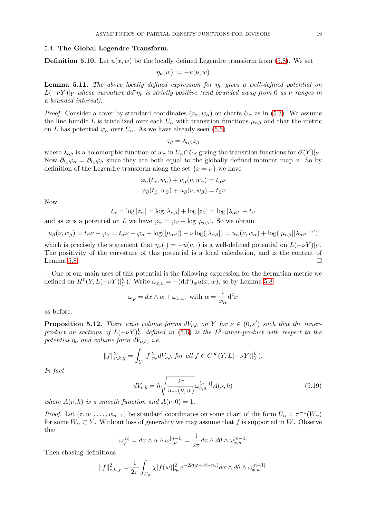#### 5.4. The Global Legendre Transform.

**Definition 5.10.** Let  $u(x, w)$  be the locally defined Legendre transform from [\(5.8\)](#page-16-2). We set

$$
\eta_\nu(w):=-u(\nu,w)
$$

<span id="page-18-1"></span>**Lemma 5.11.** The above locally defined expression for  $\eta_{\nu}$  gives a well-defined potential on  $L(-\nu Y)|_Y$  whose curvature  $dd^c \eta_{\nu}$  is strictly positive (and bounded away from 0 as  $\nu$  ranges in a bounded interval).

*Proof.* Consider a cover by standard coordinates  $(z_\alpha, w_\alpha)$  on charts  $U_\alpha$  as in [\(5.3\)](#page-15-1). We assume the line bundle L is trivialized over each  $U_{\alpha}$  with transition functions  $\mu_{\alpha\beta}$  and that the metric on L has potential  $\varphi_{\alpha}$  over  $U_{\alpha}$ . As we have already seen [\(5.5\)](#page-15-2)

$$
z_{\beta} = \lambda_{\alpha\beta} z_{\beta}
$$

where  $\lambda_{\alpha\beta}$  is a holomorphic function of  $w_{\alpha}$  in  $U_{\alpha} \cap U_{\beta}$  giving the transition functions for  $\mathscr{O}(Y)|_Y$ . Now  $\partial_{t_{\alpha}}\varphi_{\alpha} = \partial_{t_{\alpha}}\varphi_{\beta}$  since they are both equal to the globally defined moment map x. So by definition of the Legendre transform along the set  $\{x = \nu\}$  we have

$$
\varphi_{\alpha}(t_{\alpha}, w_{\alpha}) + u_{\alpha}(\nu, w_{\alpha}) = t_{\alpha}\nu \n\varphi_{\beta}(t_{\beta}, w_{\beta}) + u_{\beta}(\nu, w_{\beta}) = t_{\beta}\nu
$$

Now

$$
t_{\alpha} = \log |z_{\alpha}| = \log |\lambda_{\alpha\beta}| + \log |z_{\beta}| = \log |\lambda_{\alpha\beta}| + t_{\beta}
$$

and as  $\varphi$  is a potential on L we have  $\varphi_{\alpha} = \varphi_{\beta} + \log |\mu_{\alpha\beta}|$ . So we obtain

$$
u_{\beta}(\nu, w_{\beta}) = t_{\beta}\nu - \varphi_{\beta} = t_{\alpha}\nu - \varphi_{\alpha} + \log(|\mu_{\alpha\beta}|) - \nu \log(|\lambda_{\alpha\beta}|) = u_{\alpha}(\nu, w_{\alpha}) + \log(|\mu_{\alpha\beta}| |\lambda_{\alpha\beta}|^{-\nu})
$$

which is precisely the statement that  $\eta_{\nu}(\cdot) = -u(\nu, \cdot)$  is a well-defined potential on  $L(-\nu Y)|_Y$ . The positivity of the curvature of this potential is a local calculation, and is the content of Lemma [5.8](#page-17-2)  $\Box$ 

One of our main uses of this potential is the following expression for the hermitian metric we defined on  $H^0(Y, L(-\nu Y)|_Y^k)$ . Write  $\omega_{x,u} = -(\text{dd}^c)_w u(x, w)$ , so by Lemma [5.8](#page-17-2)

$$
\omega_{\varphi} = dx \wedge \alpha + \omega_{x,u}, \text{ with } \alpha = \frac{1}{\varphi_{tt}} d^c x
$$

as before.

<span id="page-18-0"></span>**Proposition 5.12.** There exist volume forms  $dV_{\nu,\hbar}$  on Y for  $\nu \in (0,\varepsilon')$  such that the innerproduct on sections of  $L(-\nu Y)^k_Y$  defined in [\(5.6\)](#page-16-3) is the  $L^2$ -inner-product with respect to the potential  $\eta_{\nu}$  and volume form  $dV_{\nu,\hbar}$ , i.e.

$$
||f||_{\nu,k,\chi}^2 = \int_Y |f|_{\eta_{\nu}}^2 dV_{\nu,\hbar} \text{ for all } f \in C^{\infty}(Y, L(-\nu Y)|_Y^k).
$$

In fact

<span id="page-18-2"></span>
$$
dV_{\nu,\hbar} = \hbar \sqrt{\frac{2\pi}{u_{xx}(\nu, w)}} \omega_{\nu,u}^{[n-1]} A(\nu, \hbar)
$$
(5.19)

where  $A(\nu, \hbar)$  is a smooth function and  $A(\nu, 0) = 1$ .

*Proof.* Let  $(z, w_1, \ldots, w_{n-1})$  be standard coordinates on some chart of the form  $U_\alpha = \pi^{-1}(W_\alpha)$ for some  $W_{\alpha} \subset Y$ . Without loss of generality we may assume that f is supported in W. Observe that

$$
\omega_{\varphi}^{[n]} = dx \wedge \alpha \wedge \omega_{x,\nu}^{[n-1]} = \frac{1}{2\pi} dx \wedge d\theta \wedge \omega_{x,u}^{[n-1]}
$$

Then chasing definitions

$$
||f||_{\nu,k,\chi}^2 = \frac{1}{2\pi} \int_{U_{\alpha}} \chi |f(w)|_{\eta_{\nu}}^2 e^{-2k(\varphi - \nu t - \eta_{\nu})} dx \wedge d\theta \wedge \omega_{x,u}^{[n-1]}.
$$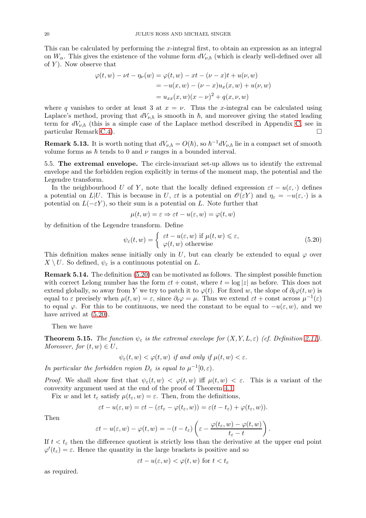This can be calculated by performing the x-integral first, to obtain an expression as an integral on  $W_{\alpha}$ . This gives the existence of the volume form  $dV_{\nu,\hbar}$  (which is clearly well-defined over all of  $Y$ ). Now observe that

$$
\varphi(t, w) - \nu t - \eta_{\nu}(w) = \varphi(t, w) - xt - (\nu - x)t + u(\nu, w)
$$
  
=  $-u(x, w) - (\nu - x)u_x(x, w) + u(\nu, w)$   
=  $u_{xx}(x, w)(x - \nu)^2 + q(x, \nu, w)$ 

where q vanishes to order at least 3 at  $x = \nu$ . Thus the x-integral can be calculated using Laplace's method, proving that  $dV_{\nu,\hbar}$  is smooth in  $\hbar$ , and moreover giving the stated leading term for  $dV_{\nu,\hbar}$  (this is a simple case of the Laplace method described in Appendix [C,](#page-28-0) see in particular Remark [C.4\)](#page-32-0).

**Remark 5.13.** It is worth noting that  $dV_{\nu,\hbar} = O(\hbar)$ , so  $\hbar^{-1} dV_{\nu,\hbar}$  lie in a compact set of smooth volume forms as  $\hbar$  tends to 0 and  $\nu$  ranges in a bounded interval.

5.5. The extremal envelope. The circle-invariant set-up allows us to identify the extremal envelope and the forbidden region explicitly in terms of the moment map, the potential and the Legendre transform.

In the neighbourhood U of Y, note that the locally defined expression  $\varepsilon t - u(\varepsilon, \cdot)$  defines a potential on  $L|U$ . This is because in U,  $\varepsilon t$  is a potential on  $\mathscr{O}(\varepsilon Y)$  and  $\eta_{\varepsilon} = -u(\varepsilon, \cdot)$  is a potential on  $L(-\varepsilon Y)$ , so their sum is a potential on L. Note further that

$$
\mu(t, w) = \varepsilon \Rightarrow \varepsilon t - u(\varepsilon, w) = \varphi(t, w)
$$

by definition of the Legendre transform. Define

<span id="page-19-0"></span>
$$
\psi_{\varepsilon}(t, w) = \begin{cases} \varepsilon t - u(\varepsilon, w) & \text{if } \mu(t, w) \le \varepsilon, \\ \varphi(t, w) & \text{otherwise} \end{cases}
$$
\n(5.20)

This definition makes sense initially only in U, but can clearly be extended to equal  $\varphi$  over  $X \setminus U$ . So defined,  $\psi_{\varepsilon}$  is a continuous potential on L.

Remark 5.14. The definition [\(5.20\)](#page-19-0) can be motivated as follows. The simplest possible function with correct Lelong number has the form  $\varepsilon t$  + const, where  $t = \log |z|$  as before. This does not extend globally, so away from Y we try to patch it to  $\varphi(t)$ . For fixed w, the slope of  $\partial_t\varphi(t, w)$  is equal to  $\varepsilon$  precisely when  $\mu(t, w) = \varepsilon$ , since  $\partial_t \varphi = \mu$ . Thus we extend  $\varepsilon t$  + const across  $\mu^{-1}(\varepsilon)$ to equal  $\varphi$ . For this to be continuous, we need the constant to be equal to  $-u(\varepsilon, w)$ , and we have arrived at  $(5.20)$ .

Then we have

**Theorem 5.15.** The function  $\psi_{\varepsilon}$  is the extremal envelope for  $(X, Y, L, \varepsilon)$  (cf. Definition [2.11\)](#page-9-2). Moreover, for  $(t, w) \in U$ ,

 $\psi_{\varepsilon}(t, w) < \varphi(t, w)$  if and only if  $\mu(t, w) < \varepsilon$ .

In particular the forbidden region  $D_{\varepsilon}$  is equal to  $\mu^{-1}[0,\varepsilon)$ .

Proof. We shall show first that  $\psi_{\varepsilon}(t, w) < \varphi(t, w)$  iff  $\mu(t, w) < \varepsilon$ . This is a variant of the convexity argument used at the end of the proof of Theorem [4.1.](#page-12-1)

Fix w and let  $t_{\varepsilon}$  satisfy  $\mu(t_{\varepsilon}, w) = \varepsilon$ . Then, from the definitions,

$$
\varepsilon t - u(\varepsilon, w) = \varepsilon t - (\varepsilon t_{\varepsilon} - \varphi(t_{\varepsilon}, w)) = \varepsilon (t - t_{\varepsilon}) + \varphi(t_{\varepsilon}, w)).
$$

Then

$$
\varepsilon t - u(\varepsilon, w) - \varphi(t, w) = -(t - t_{\varepsilon}) \left( \varepsilon - \frac{\varphi(t_{\varepsilon}, w) - \varphi(t, w)}{t_{\varepsilon} - t} \right).
$$

If  $t < t_{\varepsilon}$  then the difference quotient is strictly less than the derivative at the upper end point  $\varphi'(t_{\varepsilon}) = \varepsilon$ . Hence the quantity in the large brackets is positive and so

$$
\varepsilon t - u(\varepsilon, w) < \varphi(t, w) \text{ for } t < t_{\varepsilon}
$$

as required.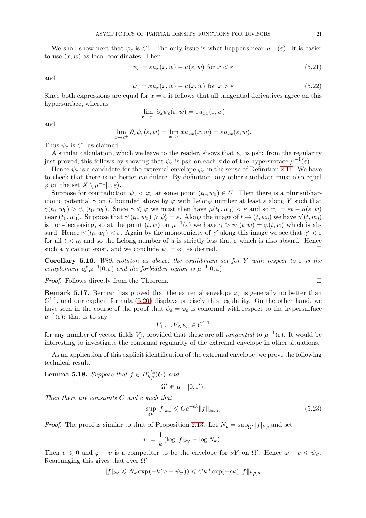We shall show next that  $\psi_{\varepsilon}$  is  $C^1$ . The only issue is what happens near  $\mu^{-1}(\varepsilon)$ . It is easier to use  $(x, w)$  as local coordinates. Then

$$
\psi_{\varepsilon} = \varepsilon u_x(x, w) - u(\varepsilon, w) \text{ for } x < \varepsilon \tag{5.21}
$$

and

$$
\psi_{\varepsilon} = xu_x(x, w) - u(x, w) \text{ for } x > \varepsilon \tag{5.22}
$$

Since both expressions are equal for  $x = \varepsilon$  it follows that all tangential derivatives agree on this hypersurface, whereas

$$
\lim_{x \to \varepsilon^{-}} \partial_x \psi_{\varepsilon}(\varepsilon, w) = \varepsilon u_{xx}(\varepsilon, w)
$$

and

$$
\lim_{x \to \varepsilon^+} \partial_x \psi_{\varepsilon}(\varepsilon, w) = \lim_{x \to \varepsilon} x u_{xx}(x, w) = \varepsilon u_{xx}(\varepsilon, w).
$$

Thus  $\psi_{\varepsilon}$  is  $C^1$  as claimed.

A similar calculation, which we leave to the reader, shows that  $\psi_{\varepsilon}$  is psh: from the regularity just proved, this follows by showing that  $\psi_{\varepsilon}$  is psh on each side of the hypersurface  $\mu^{-1}(\varepsilon)$ .

Hence  $\psi_{\varepsilon}$  is a candidate for the extremal envelope  $\varphi_{\varepsilon}$  in the sense of Definition [2.11.](#page-9-2) We have to check that there is no better candidate. By definition, any other candidate must also equal  $\varphi$  on the set  $X \setminus \mu^{-1}[0, \varepsilon)$ .

Suppose for contradiction  $\psi_{\varepsilon} < \varphi_{\varepsilon}$  at some point  $(t_0, w_0) \in U$ . Then there is a plurisubharmonic potential  $\gamma$  on L bounded above by  $\varphi$  with Lelong number at least  $\varepsilon$  along Y such that  $\gamma(t_0, w_0) > \psi_{\varepsilon}(t_0, w_0)$ . Since  $\gamma \leq \varphi$  we must then have  $\mu(t_0, w_0) < \varepsilon$  and so  $\psi_{\varepsilon} = \varepsilon t - u(\varepsilon, w)$ near  $(t_0, w_0)$ . Suppose that  $\gamma'(t_0, w_0) \geq \psi'_\varepsilon = \varepsilon$ . Along the image of  $t \mapsto (t, w_0)$  we have  $\gamma'(t, w_0)$ is non-decreasing, so at the point  $(t, w)$  on  $\mu^{-1}(\varepsilon)$  we have  $\gamma > \psi_{\varepsilon}(t, w) = \varphi(t, w)$  which is absurd. Hence  $\gamma'(t_0, w_0) < \varepsilon$ . Again by the monotonicity of  $\gamma'$  along this image we see that  $\gamma' < \varepsilon$ for all  $t < t_0$  and so the Lelong number of u is strictly less that  $\varepsilon$  which is also absurd. Hence such a  $\gamma$  cannot exist, and we conclude  $\psi_{\varepsilon} = \varphi_{\varepsilon}$  as desired.

Corollary 5.16. With notaton as above, the equilibrium set for Y with respect to  $\varepsilon$  is the complement of  $\mu^{-1}[0,\varepsilon)$  and the forbidden region is  $\mu^{-1}[0,\varepsilon)$ 

Proof. Follows directly from the Theorem.

**Remark 5.17.** Berman has proved that the extremal envelope  $\varphi_{\varepsilon}$  is generally no better than  $C^{1,1}$ , and our explicit formula [\(5.20\)](#page-19-0) displays precisely this regularity. On the other hand, we have seen in the course of the proof that  $\psi_{\varepsilon} = \varphi_{\varepsilon}$  is conormal with respect to the hypersurface  $\mu^{-1}(\varepsilon)$ : that is to say

$$
V_1 \dots V_N \psi_{\varepsilon} \in C^{1,1}
$$

for any number of vector fields  $V_j$ , provided that these are all *tangential* to  $\mu^{-1}(\varepsilon)$ . It would be interesting to investigate the conormal regularity of the extremal envelope in other situations.

As an application of this explicit identification of the extremal envelope, we prove the following technical result.

<span id="page-20-0"></span>**Lemma 5.18.** Suppose that  $f \in H_{k\varphi}^{\varepsilon' k}(U)$  and

$$
\Omega' \in \mu^{-1}[0, \varepsilon').
$$

Then there are constants C and c such that

$$
\sup_{\Omega'} |f|_{k\varphi} \leqslant Ce^{-ck} \|f\|_{k\varphi,U} \tag{5.23}
$$

*Proof.* The proof is similar to that of Proposition [2.13.](#page-9-3) Let  $N_k = \sup_{\Omega'} |f|_{k\varphi}$  and set

$$
v := \frac{1}{k} \left( \log |f|_{k\varphi} - \log N_k \right).
$$

Then  $v \leq 0$  and  $\varphi + v$  is a competitor to be the envelope for  $\nu Y$  on  $\Omega'$ . Hence  $\varphi + v \leq \psi_{\varepsilon'}$ . Rearranging this gives that over  $\Omega'$ 

 $|f|_{k\varphi} \leq N_k \exp(-k(\varphi - \psi_{\varepsilon'})) \leq C k^n \exp(-c k) ||f||_{k\varphi, u}$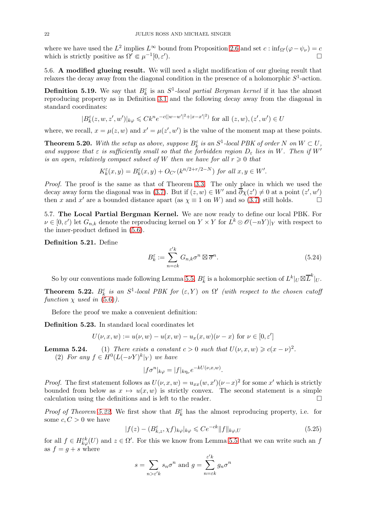where we have used the  $L^2$  implies  $L^{\infty}$  bound from Proposition [2.6](#page-5-0) and set  $c : \inf_{\Omega'} (\varphi - \psi_{\nu}) = c$ which is strictly positive as  $\Omega' \in \mu^{-1}[0, \varepsilon']$ ).  $\qquad \qquad \Box$ 

<span id="page-21-1"></span>5.6. A modified glueing result. We will need a slight modification of our glueing result that relaxes the decay away from the diagonal condition in the presence of a holomorphic  $S^1$ -action.

**Definition 5.19.** We say that  $B_k^{\varepsilon}$  is an  $S^1$ -local partial Bergman kernel if it has the almost reproducing property as in Definition [3.1](#page-10-0) and the following decay away from the diagonal in standard coordinates:

$$
|B_k^{\varepsilon}(z, w, z', w')|_{k\varphi} \leq C k^n e^{-c(|w-w'|^2 + |x - x'|^2)}
$$
 for all  $(z, w), (z', w') \in U$ 

where, we recall,  $x = \mu(z, w)$  and  $x' = \mu(z', w')$  is the value of the moment map at these points.

<span id="page-21-3"></span>**Theorem 5.20.** With the setup as above, suppose  $B_k^{\varepsilon}$  is an  $S^1$ -local PBK of order N on  $W \subset U$ , and suppose that  $\varepsilon$  is sufficiently small so that the forbidden region  $D_{\varepsilon}$  lies in W. Then if W' is an open, relatively compact subset of W then we have for all  $r \geq 0$  that

$$
K_k^{\varepsilon}(x,y) = B_k^{\varepsilon}(x,y) + O_{C^r}(k^{n/2+r/2-N}) \text{ for all } x, y \in W'.
$$

Proof. The proof is the same as that of Theorem [3.3.](#page-10-1) The only place in which we used the decay away form the diagonal was in [\(3.7\)](#page-11-1). But if  $(z, w) \in W'$  and  $\partial \chi(z') \neq 0$  at a point  $(z', w')$ then x and x' are a bounded distance apart (as  $\chi \equiv 1$  on W) and so [\(3.7\)](#page-11-1) still holds.  $\square$ 

5.7. The Local Partial Bergman Kernel. We are now ready to define our local PBK. For  $\nu \in [0, \varepsilon')$  let  $G_{n,k}$  denote the reproducing kernel on  $Y \times Y$  for  $L^k \otimes \mathscr{O}(-nY)|_Y$  with respect to the inner-product defined in [\(5.6\)](#page-16-3).

Definition 5.21. Define

$$
B_k^{\varepsilon} := \sum_{n=\varepsilon k}^{\varepsilon' k} G_{n,k} \sigma^n \boxtimes \overline{\sigma}^n.
$$
 (5.24)

So by our conventions made following Lemma [5.5,](#page-15-0)  $B_k^{\varepsilon}$  is a holomorphic section of  $L^k|_U \boxtimes \overline{L}^k|_U$ .

<span id="page-21-0"></span>**Theorem 5.22.**  $B_k^{\varepsilon}$  is an  $S^1$ -local PBK for  $(\varepsilon, Y)$  on  $\Omega'$  (with respect to the chosen cutoff function  $\chi$  used in [\(5.6\)](#page-16-3)).

Before the proof we make a convenient definition:

Definition 5.23. In standard local coordinates let

$$
U(\nu, x, w) := u(\nu, w) - u(x, w) - u_x(x, w)(\nu - x) \text{ for } \nu \in [0, \varepsilon']
$$

**Lemma 5.24.** (1) There exists a constant  $c > 0$  such that  $U(\nu, x, w) \geqslant c(x - \nu)^2$ . (2) For any  $f \in H^0(L(-\nu Y)^k|_Y)$  we have

$$
|f\sigma^n|_{k\varphi} = |f|_{k\eta_{\nu}} e^{-kU(\nu, x, w)}.
$$

*Proof.* The first statement follows as  $U(\nu, x, w) = u_{xx}(w, x')(\nu - x)^2$  for some x' which is strictly bounded from below as  $x \mapsto u(x, w)$  is strictly convex. The second statement is a simple calculation using the definitions and is left to the reader. calculation using the definitions and is left to the reader.

*Proof of Theorem [5.22.](#page-21-0)* We first show that  $B_k^{\varepsilon}$  has the almost reproducing property, i.e. for some  $c, C > 0$  we have

<span id="page-21-2"></span>
$$
|f(z) - (B_{k,z}^{\varepsilon}, \chi f)_{k\varphi}|_{k\varphi} \leqslant Ce^{-ck} \|f\|_{k\varphi, U}
$$
\n
$$
(5.25)
$$

for all  $f \in H_{k\varphi}^{\varepsilon k}(U)$  and  $z \in \Omega'$ . For this we know from Lemma [5.5](#page-15-0) that we can write such an f as  $f = g + s$  where

$$
s = \sum_{n > \varepsilon' k} s_n \sigma^n
$$
 and 
$$
g = \sum_{n = \varepsilon k}^{\varepsilon' k} g_n \sigma^n
$$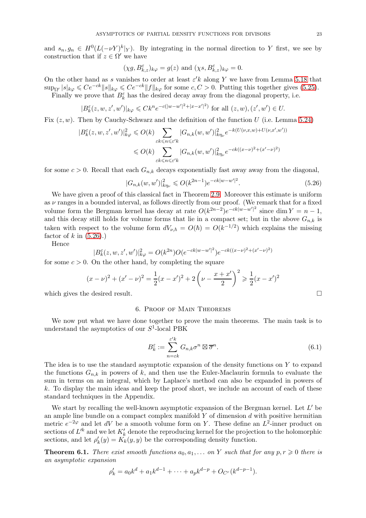and  $s_n, g_n \in H^0(L(-\nu Y)^k|_Y)$ . By integrating in the normal direction to Y first, we see by construction that if  $z \in \Omega'$  we have

$$
(\chi g, B_{k,z}^\varepsilon)_{k\varphi}=g(z)\text{ and }(\chi s, B_{k,z}^\varepsilon)_{k\varphi}=0.
$$

On the other hand as s vanishes to order at least  $\varepsilon' k$  along Y we have from Lemma [5.18](#page-20-0) that  $\sup_{\Omega'} |s|_{k\varphi} \leqslant Ce^{-ck} ||s||_{k\varphi} \leqslant Ce^{-ck} ||f||_{k\varphi}$  for some  $c, C > 0$ . Putting this together gives [\(5.25\)](#page-21-2). Finally we prove that  $B_k^{\varepsilon}$  has the desired decay away from the diagonal property, i.e.

$$
|B_k^{\varepsilon}(z, w, z', w')|_{k\varphi} \leq C k^n e^{-c(|w-w'|^2 + |x - x'|^2)} \text{ for all } (z, w), (z', w') \in U.
$$

Fix  $(z, w)$ . Then by Cauchy-Schwarz and the definition of the function U (i.e. Lemma 5.24)

$$
|B_k^{\varepsilon}(z, w, z', w')|_{k\varphi}^2 \leqslant O(k) \sum_{\varepsilon k \leqslant n \leqslant \varepsilon' k} |G_{n,k}(w, w')|_{k\eta_{\nu}}^2 e^{-k(U(\nu, x, w) + U(\nu, x', w'))}
$$
  

$$
\leqslant O(k) \sum_{\varepsilon k \leqslant n \leqslant \varepsilon' k} |G_{n,k}(w, w')|_{k\eta_{\nu}}^2 e^{-ck((x-\nu)^2 + (x'-\nu)^2)}
$$

for some  $c > 0$ . Recall that each  $G_{n,k}$  decays exponentially fast away away from the diagonal,

<span id="page-22-0"></span>
$$
|G_{n,k}(w,w')|_{k\eta_{\nu}}^2 \leqslant O(k^{2n-1})e^{-ck|w-w'|^2}.
$$
\n(5.26)

We have given a proof of this classical fact in Theorem [2.9.](#page-6-0) Moreover this estimate is uniform as  $\nu$  ranges in a bounded interval, as follows directly from our proof. (We remark that for a fixed volume form the Bergman kernel has decay at rate  $O(k^{2n-2})e^{-ck|w-w'|^2}$  since dim  $Y = n - 1$ , and this decay still holds for volume forms that lie in a compact set; but in the above  $G_{n,k}$  is taken with respect to the volume form  $dV_{\nu,\hbar} = O(\hbar) = O(k^{-1/2})$  which explains the missing factor of k in  $(5.26)$ .)

Hence

$$
|B_k^{\varepsilon}(z, w, z', w')|_{k\varphi}^2 = O(k^{2n})O(e^{-ck|w-w'|^2})e^{-ck((x-\nu)^2 + (x'-\nu)^2)}
$$

for some  $c > 0$ . On the other hand, by completing the square

$$
(x - \nu)^2 + (x' - \nu)^2 = \frac{1}{2}(x - x')^2 + 2\left(\nu - \frac{x + x'}{2}\right)^2 \ge \frac{1}{2}(x - x')^2
$$

which gives the desired result.

# 6. Proof of Main Theorems

We now put what we have done together to prove the main theorems. The main task is to understand the asymptotics of our  $S^1$ -local PBK

$$
B_k^{\varepsilon} := \sum_{n=\varepsilon k}^{\varepsilon' k} G_{n,k} \sigma^n \boxtimes \overline{\sigma}^n.
$$
 (6.1)

The idea is to use the standard asymptotic expansion of the density functions on  $Y$  to expand the functions  $G_{n,k}$  in powers of k, and then use the Euler-Maclaurin formula to evaluate the sum in terms on an integral, which by Laplace's method can also be expanded in powers of k. To display the main ideas and keep the proof short, we include an account of each of these standard techniques in the Appendix.

We start by recalling the well-known asymptotic expansion of the Bergman kernel. Let  $L'$  be an ample line bundle on a compact complex manifold  $Y$  of dimension  $d$  with positive hermitian metric  $e^{-2\varphi}$  and let dV be a smooth volume form on Y. These define an  $L^2$ -inner product on sections of  $L'^k$  and we let  $K'_k$  denote the reproducing kernel for the projection to the holomorphic sections, and let  $\rho'_k(y) = K_k(y, y)$  be the corresponding density function.

<span id="page-22-1"></span>**Theorem 6.1.** There exist smooth functions  $a_0, a_1, \ldots$  on Y such that for any  $p, r \geq 0$  there is an asymptotic expansion

$$
\rho'_{k} = a_0 k^{d} + a_1 k^{d-1} + \dots + a_p k^{d-p} + O_{C^{r}}(k^{d-p-1}).
$$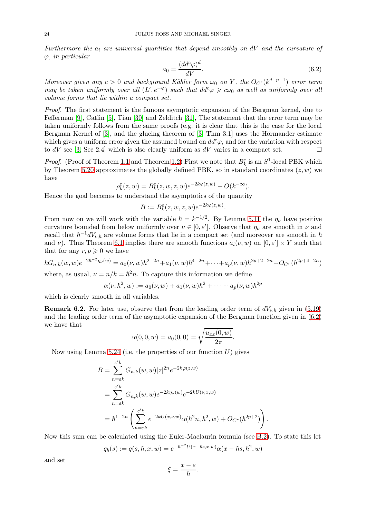Furthermore the  $a_i$  are universal quantities that depend smoothly on  $dV$  and the curvature of  $\varphi$ , in particular

<span id="page-23-0"></span>
$$
a_0 = \frac{(dd^c \varphi)^d}{dV}.
$$
\n(6.2)

Moreover given any  $c > 0$  and background Kähler form  $\omega_0$  on Y, the  $O_{C^{r}}(k^{d-p-1})$  error term may be taken uniformly over all  $(L', e^{-\varphi})$  such that  $dd^c \varphi \geq c\omega_0$  as well as uniformly over all volume forms that lie within a compact set.

Proof. The first statement is the famous asymptotic expansion of the Bergman kernel, due to Fefferman [\[9\]](#page-34-12), Catlin [\[5\]](#page-33-4), Tian [\[30\]](#page-34-13) and Zelditch [\[31\]](#page-34-14), The statement that the error term may be taken uniformly follows from the same proofs (e.g. it is clear that this is the case for the local Bergman Kernel of  $[3]$ , and the glueing theorem of  $[3, Thm 3.1]$  uses the Hörmander estimate which gives a uniform error given the assumed bound on  $dd^c\varphi$ , and for the variation with respect to dV see [\[3,](#page-33-3) Sec 2.4] which is also clearly uniform as dV varies in a compact set.  $\square$ 

*Proof.* (Proof of Theorem [1.1](#page-1-0) and Theorem [1.2\)](#page-2-0) First we note that  $B_k^{\varepsilon}$  is an  $S^1$ -local PBK which by Theorem [5.20](#page-21-3) approximates the globally defined PBK, so in standard coordinates  $(z, w)$  we have

$$
\rho_k^{\varepsilon}(z,w) = B_k^{\varepsilon}(z,w,z,w)e^{-2k\varphi(z,w)} + O(k^{-\infty}).
$$

Hence the goal becomes to understand the asymptotics of the quantity

$$
B := B_k^{\varepsilon}(z, w, z, w)e^{-2k\varphi(z, w)}
$$

.

.

From now on we will work with the variable  $\hbar = k^{-1/2}$ . By Lemma [5.11](#page-18-1) the  $\eta_{\nu}$  have positive curvature bounded from below uniformly over  $\nu \in [0, \varepsilon']$ . Observe that  $\eta_{\nu}$  are smooth in  $\nu$  and recall that  $\hbar^{-1}dV_{\nu,\hbar}$  are volume forms that lie in a compact set (and moreover are smooth in  $\hbar$ and  $\nu$ ). Thus Theorem [6.1](#page-22-1) implies there are smooth functions  $a_i(\nu, w)$  on  $[0, \varepsilon'] \times Y$  such that that for any  $r, p \geq 0$  we have

$$
\hbar G_{n,k}(w,w)e^{-2\hbar^{-2}\eta_{\nu}(w)} = a_0(\nu,w)\hbar^{2-2n} + a_1(\nu,w)\hbar^{4-2n} + \dots + a_p(\nu,w)\hbar^{2p+2-2n} + O_{C^r}(\hbar^{2p+4-2n})
$$

where, as usual,  $\nu = n/k = \hbar^2 n$ . To capture this information we define

$$
\alpha(\nu, \hbar^2, w) := a_0(\nu, w) + a_1(\nu, w)\hbar^2 + \dots + a_p(\nu, w)\hbar^{2p}
$$

which is clearly smooth in all variables.

<span id="page-23-1"></span>**Remark 6.2.** For later use, observe that from the leading order term of  $dV_{\nu,\hbar}$  given in [\(5.19\)](#page-18-2) and the leading order term of the asymptotic expansion of the Bergman function given in [\(6.2\)](#page-23-0) we have that

$$
\alpha(0,0,w) = a_0(0,0) = \sqrt{\frac{u_{xx}(0,w)}{2\pi}}.
$$

Now using Lemma 5.24 (i.e. the properties of our function  $U$ ) gives

$$
B = \sum_{n=\varepsilon k}^{\varepsilon' k} G_{n,k}(w, w) |z|^{2n} e^{-2k\varphi(z, w)}
$$
  
= 
$$
\sum_{n=\varepsilon k}^{\varepsilon' k} G_{n,k}(w, w) e^{-2k\eta_{\nu}(w)} e^{-2kU(\nu, x, w)}
$$
  
= 
$$
\hbar^{1-2n} \left( \sum_{n=\varepsilon k}^{\varepsilon' k} e^{-2kU(x, \nu, w)} \alpha(\hbar^2 n, \hbar^2, w) + O_{C^r}(\hbar^{2p+2}) \right)
$$

Now this sum can be calculated using the Euler-Maclaurin formula (see [B.2\)](#page-28-1). To state this let

$$
q_h(s) := q(s, \hbar, x, w) = e^{-\hbar^{-2}U(x - \hbar s, x, w)} \alpha(x - \hbar s, \hbar^2, w)
$$

and set

$$
\xi = \frac{x - \varepsilon}{\hbar}.
$$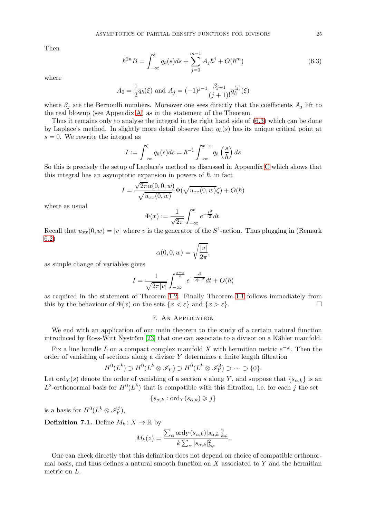Then

<span id="page-24-0"></span>
$$
\hbar^{2n}B = \int_{-\infty}^{\xi} q_{\hbar}(s)ds + \sum_{j=0}^{m-1} A_j \hbar^j + O(\hbar^m)
$$
\n(6.3)

where

$$
A_0 = \frac{1}{2} q_\hbar(\xi) \text{ and } A_j = (-1)^{j-1} \frac{\beta_{j+1}}{(j+1)!} q_\hbar^{(j)}(\xi)
$$

where  $\beta_i$  are the Bernoulli numbers. Moreover one sees directly that the coefficients  $A_i$  lift to the real blowup (see Appendix [A\)](#page-26-0) as in the statement of the Theorem.

Thus it remains only to analyse the integral in the right hand side of [\(6.3\)](#page-24-0) which can be done by Laplace's method. In slightly more detail observe that  $q_h(s)$  has its unique critical point at  $s = 0$ . We rewrite the integral as

$$
I := \int_{-\infty}^{\zeta} q_{\hbar}(s) ds = \hbar^{-1} \int_{-\infty}^{x-\varepsilon} q_{\hbar}\left(\frac{s}{\hbar}\right) ds
$$

So this is precisely the setup of Laplace's method as discussed in Appendix [C](#page-28-0) which shows that this integral has an asymptotic expansion in powers of  $\hbar$ , in fact

$$
I = \frac{\sqrt{2\pi}\alpha(0,0,w)}{\sqrt{u_{xx}(0,w)}}\Phi(\sqrt{u_{xx}(0,w)}\zeta) + O(\hbar)
$$

where as usual

$$
\Phi(x) := \frac{1}{\sqrt{2\pi}} \int_{-\infty}^{x} e^{-\frac{t^2}{2}} dt.
$$

Recall that  $u_{xx}(0, w) = |v|$  where v is the generator of the  $S^1$ -action. Thus plugging in (Remark [6.2\)](#page-23-1)

$$
\alpha(0,0,w) = \sqrt{\frac{|v|}{2\pi}},
$$

as simple change of variables gives

$$
I = \frac{1}{\sqrt{2\pi|v|}} \int_{-\infty}^{\frac{x-\varepsilon}{\hbar}} e^{-\frac{t^2}{2|v|^2}} dt + O(\hbar)
$$

as required in the statement of Theorem [1.2.](#page-2-0) Finally Theorem [1.1](#page-1-0) follows immediately from this by the behaviour of  $\Phi(x)$  on the sets  $\{x < \varepsilon\}$  and  $\{x > \varepsilon\}$ .

## 7. An Application

We end with an application of our main theorem to the study of a certain natural function introduced by Ross-Witt Nyström [\[23\]](#page-34-15) that one can associate to a divisor on a Kähler manifold.

Fix a line bundle L on a compact complex manifold X with hermitian metric  $e^{-\varphi}$ . Then the order of vanishing of sections along a divisor Y determines a finite length filtration

$$
H^0(L^k) \supset H^0(L^k \otimes \mathscr{I}_Y) \supset H^0(L^k \otimes \mathscr{I}_Y^2) \supset \cdots \supset \{0\}.
$$

Let ord<sub>Y</sub>(s) denote the order of vanishing of a section s along Y, and suppose that  $\{s_{\alpha,k}\}\$ is an  $L^2$ -orthonormal basis for  $H^0(L^k)$  that is compatible with this filtration, i.e. for each j the set

$$
\{s_{\alpha,k}: \text{ord}_Y(s_{\alpha,k}) \geqslant j\}
$$

is a basis for  $H^0(L^k \otimes \mathscr{I}_{Y}^j)$  $_Y^{\mathcal{I}}),$ 

**Definition 7.1.** Define  $M_k: X \to \mathbb{R}$  by

$$
M_k(z) = \frac{\sum_{\alpha} \text{ord}_Y(s_{\alpha,k}) |s_{\alpha,k}|_{k\varphi}^2}{k \sum_{\alpha} |s_{\alpha,k}|_{k\varphi}^2}.
$$

One can check directly that this definition does not depend on choice of compatible orthonormal basis, and thus defines a natural smooth function on  $X$  associated to  $Y$  and the hermitian metric on L.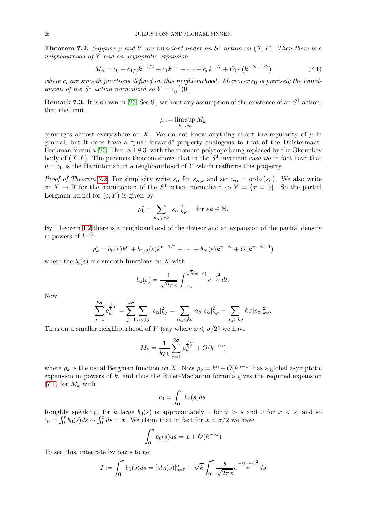<span id="page-25-0"></span>**Theorem 7.2.** Suppose  $\varphi$  and Y are invariant under an  $S^1$  action on  $(X, L)$ . Then there is a neighbourhood of Y and an asymptotic expansion

<span id="page-25-1"></span>
$$
M_k = c_0 + c_{1/2}k^{-1/2} + c_1k^{-1} + \dots + c_rk^{-N} + O_{C^r}(k^{-N-1/2})
$$
\n(7.1)

where  $c_i$  are smooth functions defined on this neighbourhood. Moreover  $c_0$  is precisely the hamiltonian of the  $S^1$  action normalized so  $Y = c_0^{-1}(0)$ .

**Remark 7.3.** It is shown in [\[23,](#page-34-15) Sec 8], without any assumption of the existence of an  $S^1$ -action, that the limit

$$
\mu := \limsup_{k \to \infty} M_k
$$

converges almost everywhere on X. We do not know anything about the regularity of  $\mu$  in general, but it does have a "push-forward" property analogous to that of the Duistermaat-Heckman formula [\[23,](#page-34-15) Thm. 8.1,8.3] with the moment polytope being replaced by the Okounkov body of  $(X, L)$ . The previous theorem shows that in the  $S^1$ -invariant case we in fact have that  $\mu = c_0$  is the Hamiltonian in a neighbourhood of Y which reaffirms this property.

*Proof of Theorem [7.2.](#page-25-0)* For simplicity write  $s_{\alpha}$  for  $s_{\alpha,k}$  and set  $n_{\alpha} = \text{ord}_Y(s_{\alpha})$ . We also write  $x: X \to \mathbb{R}$  for the hamiltonian of the  $S^1$ -action normalized so  $Y = \{x = 0\}$ . So the partial Bergman kernel for  $(\varepsilon, Y)$  is given by

$$
\rho_k^{\varepsilon} = \sum_{n_{\alpha} \ge \varepsilon k} |s_{\alpha}|_{k\varphi}^2 \quad \text{ for } \varepsilon k \in \mathbb{N}.
$$

By Theorem [1.2](#page-2-0) there is a neighbourhood of the divisor and an expansion of the partial density in powers of  $k^{1/2}$ :

$$
\rho_k^{\varepsilon} = b_0(\varepsilon)k^n + b_{1/2}(\varepsilon)k^{n-1/2} + \dots + b_N(\varepsilon)k^{n-N} + O(k^{n-N-1})
$$

where the  $b_i(\varepsilon)$  are smooth functions on X with

$$
b_0(\varepsilon) = \frac{1}{\sqrt{2\pi x}} \int_{-\infty}^{\sqrt{k}(x-\varepsilon)} e^{-\frac{t^2}{2x}} dt.
$$

Now

$$
\sum_{j=1}^{k\sigma} \rho_k^{\frac{j}{k}Y} = \sum_{j=1}^{k\sigma} \sum_{n_\alpha \geq j} |s_\alpha|_{k\varphi}^2 = \sum_{n_\alpha \leq k\sigma} n_\alpha |s_\alpha|_{k\varphi}^2 + \sum_{n_\alpha > k\sigma} k\sigma |s_\alpha|_{k\varphi}^2.
$$

Thus on a smaller neighbourhood of Y (say where  $x \leq \sigma/2$ ) we have

$$
M_k = \frac{1}{k\rho_k} \sum_{j=1}^{k\sigma} \rho_k^{\frac{j}{k}Y} + O(k^{-\infty})
$$

where  $\rho_k$  is the usual Bergman function on X. Now  $\rho_k = k^n + O(k^{n-1})$  has a global asymptotic expansion in powers of  $k$ , and thus the Euler-Maclaurin formula gives the required expansion  $(7.1)$  for  $M_k$  with

$$
c_0 = \int_0^{\sigma} b_0(s)ds.
$$

Roughly speaking, for k large  $b_0(s)$  is approximately 1 for  $x > s$  and 0 for  $x < s$ , and so  $c_0 = \int_0^s b_0(s)ds \sim \int_0^x ds = x.$  We claim that in fact for  $x < \sigma/2$  we have

$$
\int_0^{\sigma} b_0(s)ds = x + O(k^{-\infty})
$$

To see this, integrate by parts to get

$$
I := \int_0^{\sigma} b_0(s)ds = [sb_0(s)]_{s=0}^{\sigma} + \sqrt{k} \int_0^{\sigma} \frac{s}{\sqrt{2\pi x}} e^{\frac{-k(x-s)^2}{2x}} ds
$$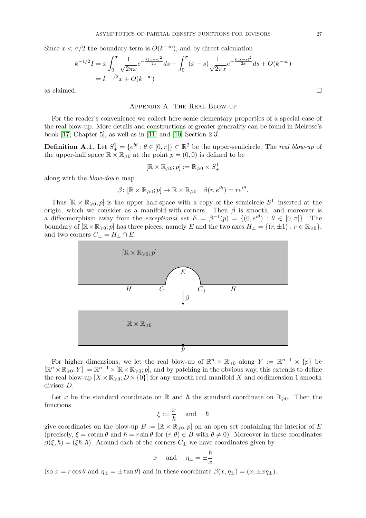Since  $x < \sigma/2$  the boundary term is  $O(k^{-\infty})$ , and by direct calculation

$$
k^{-1/2}I = x \int_0^{\sigma} \frac{1}{\sqrt{2\pi x}} e^{-\frac{k(x-s)^2}{2x}} ds - \int_0^{\sigma} (x-s) \frac{1}{\sqrt{2\pi x}} e^{-\frac{k(x-s)^2}{2x}} ds + O(k^{-\infty})
$$
  
=  $k^{-1/2}x + O(k^{-\infty})$ 

<span id="page-26-0"></span>as claimed.  $\hfill \square$ 

### Appendix A. The Real Blow-up

For the reader's convenience we collect here some elementary properties of a special case of the real blow-up. More details and constructions of greater generality can be found in Melrose's book [\[17,](#page-34-16) Chapter 5], as well as in [\[11\]](#page-34-17) and [\[10,](#page-34-18) Section 2.3].

**Definition A.1.** Let  $S^1_+ = \{e^{i\theta} : \theta \in [0, \pi]\} \subset \mathbb{R}^2$  be the upper-semicircle. The real blow-up of the upper-half space  $\mathbb{R} \times \mathbb{R}_{\geqslant 0}$  at the point  $p = (0,0)$  is defined to be

$$
[\mathbb{R} \times \mathbb{R}_{\geqslant 0}; p] := \mathbb{R}_{\geqslant 0} \times S^1_+
$$

along with the blow-down map

$$
\beta \colon [\mathbb{R} \times \mathbb{R}_{\geqslant 0}; p] \to \mathbb{R} \times \mathbb{R}_{\geqslant 0} \quad \beta(r, e^{i\theta}) = re^{i\theta}.
$$

Thus  $[\mathbb{R} \times \mathbb{R}_{\geqslant 0}; p]$  is the upper half-space with a copy of the semicircle  $S^1_+$  inserted at the origin, which we consider as a manifold-with-corners. Then  $\beta$  is smooth, and moreover is a diffeomorphism away from the exceptional set  $E = \beta^{-1}(p) = \{(0, e^{i\theta}) : \theta \in [0, \pi]\}$ . The boundary of  $[\mathbb{R} \times \mathbb{R}_{\geqslant 0}; p]$  has three pieces, namely E and the two axes  $H_{\pm} = \{(r, \pm 1) : r \in \mathbb{R}_{\geqslant 0}\},$ and two corners  $C_{\pm}=H_{\pm}\cap E.$ 



For higher dimensions, we let the real blow-up of  $\mathbb{R}^n \times \mathbb{R}_{\geqslant 0}$  along  $Y := \mathbb{R}^{n-1} \times \{p\}$  be  $[\mathbb{R}^n \times \mathbb{R}_{\geqslant 0}; Y] := \mathbb{R}^{n-1} \times [\mathbb{R} \times \mathbb{R}_{\geqslant 0}; p]$ , and by patching in the obvious way, this extends to define the real blow-up  $[X \times \mathbb{R}_{\geqslant 0}; D \times \{0\}]$  for any smooth real manifold X and codimension 1 smooth divisor D.

Let x be the standard coordinate on R and  $\hbar$  the standard coordinate on  $\mathbb{R}_{\geq 0}$ . Then the functions

$$
\xi:=\frac{x}{\hbar}\quad\text{ and }\quad \hbar
$$

give coordinates on the blow-up  $B := [\mathbb{R} \times \mathbb{R}_{\geq 0}; p]$  on an open set containing the interior of E (precisely,  $\xi = \cot \theta$  and  $\hbar = r \sin \theta$  for  $(r, \theta) \in B$  with  $\theta \neq 0$ ). Moreover in these coordinates  $\beta(\xi, \hbar) = (\xi \hbar, \hbar)$ . Around each of the corners  $C_{\pm}$  we have coordinates given by

$$
x \quad \text{and} \quad \eta_{\pm} = \pm \frac{\hbar}{x}
$$

(so  $x = r \cos \theta$  and  $\eta_{\pm} = \pm \tan \theta$ ) and in these coordinate  $\beta(x, \eta_{\pm}) = (x, \pm x \eta_{\pm}).$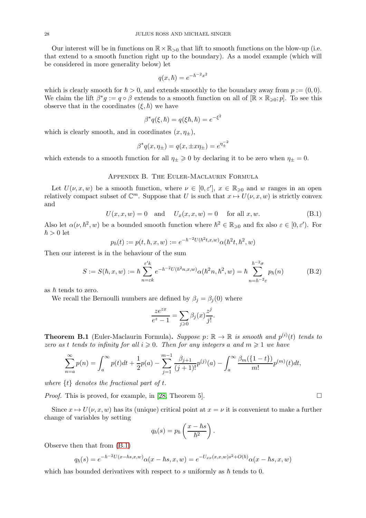Our interest will be in functions on  $\mathbb{R} \times \mathbb{R}_{>0}$  that lift to smooth functions on the blow-up (i.e. that extend to a smooth function right up to the boundary). As a model example (which will be considered in more generality below) let

$$
q(x,\hbar) = e^{-\hbar^{-2}x^2}
$$

which is clearly smooth for  $\hbar > 0$ , and extends smoothly to the boundary away from  $p := (0, 0)$ . We claim the lift  $\beta^* g := q \circ \beta$  extends to a smooth function on all of  $[\mathbb{R} \times \mathbb{R}_{\geqslant 0}; p]$ . To see this observe that in the coordinates  $(\xi, \hbar)$  we have

$$
\beta^*q(\xi,\hbar) = q(\xi\hbar,\hbar) = e^{-\xi^2}
$$

which is clearly smooth, and in coordinates  $(x, \eta_+),$ 

$$
\beta^* q(x, \eta_{\pm}) = q(x, \pm x \eta_{\pm}) = e^{\eta_{\pm}^{-2}}
$$

which extends to a smooth function for all  $\eta_{\pm} \geq 0$  by declaring it to be zero when  $\eta_{\pm} = 0$ .

## Appendix B. The Euler-Maclaurin Formula

Let  $U(\nu, x, w)$  be a smooth function, where  $\nu \in [0, \varepsilon']$ ,  $x \in \mathbb{R}_{\geqslant 0}$  and w ranges in an open relatively compact subset of  $\mathbb{C}^m$ . Suppose that  $U$  is such that  $x \mapsto U(\nu, x, w)$  is strictly convex and

<span id="page-27-0"></span>
$$
U(x, x, w) = 0 \quad \text{and} \quad U_x(x, x, w) = 0 \quad \text{for all } x, w. \tag{B.1}
$$

Also let  $\alpha(\nu, \hbar^2, w)$  be a bounded smooth function where  $\hbar^2 \in \mathbb{R}_{\geqslant 0}$  and fix also  $\varepsilon \in [0, \varepsilon')$ . For  $\hbar > 0$  let

$$
p_{\hbar}(t) := p(t, \hbar, x, w) := e^{-\hbar^{-2}U(\hbar^{2}t, x, w)} \alpha(\hbar^{2}t, \hbar^{2}, w)
$$

Then our interest is in the behaviour of the sum

$$
S := S(\hbar, x, w) := \hbar \sum_{n=\varepsilon k}^{\varepsilon' k} e^{-\hbar^{-2} U(\hbar^2 n, x, w)} \alpha(\hbar^2 n, \hbar^2, w) = \hbar \sum_{n=\hbar^{-2}\varepsilon}^{\hbar^{-2}\sigma} p_\hbar(n)
$$
(B.2)

as  $\hbar$  tends to zero.

We recall the Bernoulli numbers are defined by  $\beta_i = \beta_i(0)$  where

$$
\frac{ze^{zx}}{e^z - 1} = \sum_{j \ge 0} \beta_j(x) \frac{z^j}{j!}.
$$

**Theorem B.1** (Euler-Maclaurin Formula). Suppose  $p: \mathbb{R} \to \mathbb{R}$  is smooth and  $p^{(i)}(t)$  tends to zero as t tends to infinity for all  $i \geq 0$ . Then for any integers a and  $m \geq 1$  we have

$$
\sum_{n=a}^{\infty} p(n) = \int_{a}^{\infty} p(t)dt + \frac{1}{2}p(a) - \sum_{j=1}^{m-1} \frac{\beta_{j+1}}{(j+1)!} p^{(j)}(a) - \int_{a}^{\infty} \frac{\beta_m(\{1-t\})}{m!} p^{(m)}(t)dt,
$$

where  $\{t\}$  denotes the fractional part of t.

*Proof.* This is proved, for example, in [\[28,](#page-34-19) Theorem 5].  $\Box$ 

Since  $x \mapsto U(\nu, x, w)$  has its (unique) critical point at  $x = \nu$  it is convenient to make a further change of variables by setting

$$
q_{\hbar}(s) = p_{\hbar}\left(\frac{x-\hbar s}{\hbar^2}\right).
$$

Observe then that from [\(B.1\)](#page-27-0)

$$
q_{\hbar}(s) = e^{-\hbar^{-2}U(x-\hbar s, x, w)}\alpha(x-\hbar s, x, w) = e^{-U_{xx}(x, x, w)s^{2} + O(\hbar)}\alpha(x-\hbar s, x, w)
$$

which has bounded derivatives with respect to s uniformly as  $\hbar$  tends to 0.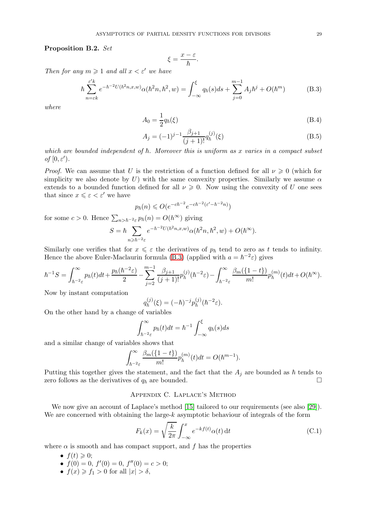<span id="page-28-1"></span>Proposition B.2. Set

$$
\xi = \frac{x - \varepsilon}{\hbar}.
$$

Then for any  $m \geq 1$  and all  $x \leq \varepsilon'$  we have

<span id="page-28-2"></span>
$$
\hbar \sum_{n=\varepsilon k}^{\varepsilon' k} e^{-\hbar^{-2} U(\hbar^2 n, x, w)} \alpha(\hbar^2 n, \hbar^2, w) = \int_{-\infty}^{\xi} q_{\hbar}(s) ds + \sum_{j=0}^{m-1} A_j \hbar^j + O(\hbar^m)
$$
(B.3)

where

$$
A_0 = \frac{1}{2}q_h(\xi) \tag{B.4}
$$

$$
A_j = (-1)^{j-1} \frac{\beta_{j+1}}{(j+1)!} q_{\hbar}^{(j)}(\xi)
$$
 (B.5)

which are bounded independent of  $h$ . Moreover this is uniform as x varies in a compact subset of  $[0,\varepsilon^{\prime}).$ 

*Proof.* We can assume that U is the restriction of a function defined for all  $\nu \geq 0$  (which for simplicity we also denote by U) with the same convexity properties. Similarly we assume  $\alpha$ extends to a bounded function defined for all  $\nu \geq 0$ . Now using the convexity of U one sees that since  $x \leqslant \varepsilon < \varepsilon'$  we have

$$
p_{\hbar}(n) \leqslant O(e^{-c\hbar^{-2}}e^{-c\hbar^{-2}(\varepsilon'-\hbar^{-2}n)})
$$

for some  $c > 0$ . Hence  $\sum_{n > \hbar^{-2} \varepsilon} p_{\hbar}(n) = O(h^{\infty})$  giving

$$
S = \hbar \sum_{n \geqslant \hbar^{-2} \varepsilon} e^{-\hbar^{-2} U(\hbar^2 n, x, w)} \alpha(\hbar^2 n, \hbar^2, w) + O(\hbar^{\infty}).
$$

Similarly one verifies that for  $x \leq \varepsilon$  the derivatives of  $p_{\hbar}$  tend to zero as t tends to infinity. Hence the above Euler-Maclaurin formula [\(B.3\)](#page-28-2) (applied with  $a = \hbar^{-2} \varepsilon$ ) gives

$$
\hbar^{-1}S = \int_{\hbar^{-2}\varepsilon}^{\infty} p_{\hbar}(t)dt + \frac{p_{\hbar}(h^{-2}\varepsilon)}{2} - \sum_{j=2}^{m-1} \frac{\beta_{j+1}}{(j+1)!} p_{\hbar}^{(j)}(\hbar^{-2}\varepsilon) - \int_{\hbar^{-2}\varepsilon}^{\infty} \frac{\beta_m(\{1-t\})}{m!} p_{\hbar}^{(m)}(t)dt + O(\hbar^{\infty}).
$$

Now by instant computation

$$
q_h^{(j)}(\xi) = (-\hbar)^{-j} p_h^{(j)}(\hbar^{-2} \varepsilon).
$$

On the other hand by a change of variables

$$
\int_{\hbar^{-2}\varepsilon}^{\infty} p_{\hbar}(t)dt = \hbar^{-1} \int_{-\infty}^{\xi} q_{\hbar}(s)ds
$$

and a similar change of variables shows that

$$
\int_{\hbar^{-2}\varepsilon}^{\infty} \frac{\beta_m(\{1-t\})}{m!} p_h^{(m)}(t) dt = O(\hbar^{m-1}).
$$

<span id="page-28-0"></span>Putting this together gives the statement, and the fact that the  $A_i$  are bounded as  $\hbar$  tends to zero follows as the derivatives of  $q_{\hbar}$  are bounded.

# Appendix C. Laplace's Method

We now give an account of Laplace's method [\[15\]](#page-34-20) tailored to our requirements (see also [\[29\]](#page-34-21)). We are concerned with obtaining the large- $k$  asymptotic behaviour of integrals of the form

<span id="page-28-3"></span>
$$
F_k(x) = \sqrt{\frac{k}{2\pi}} \int_{-\infty}^x e^{-kf(t)} \alpha(t) dt
$$
 (C.1)

where  $\alpha$  is smooth and has compact support, and f has the properties

- $f(t) \geqslant 0$ :
- $f(0) = 0, f'(0) = 0, f''(0) = c > 0;$
- $f(x) \ge f_1 > 0$  for all  $|x| > \delta$ ,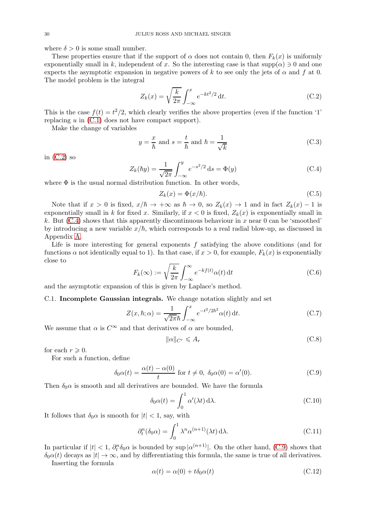where  $\delta > 0$  is some small number.

These properties ensure that if the support of  $\alpha$  does not contain 0, then  $F_k(x)$  is uniformly exponentially small in k, independent of x. So the interesting case is that  $supp(\alpha) \ni 0$  and one expects the asymptotic expansion in negative powers of k to see only the jets of  $\alpha$  and f at 0. The model problem is the integral

<span id="page-29-0"></span>
$$
Z_k(x) = \sqrt{\frac{k}{2\pi}} \int_{-\infty}^{x} e^{-kt^2/2} dt.
$$
 (C.2)

This is the case  $f(t) = t^2/2$ , which clearly verifies the above properties (even if the function '1' replacing  $u$  in  $(C.1)$  does not have compact support).

Make the change of variables

$$
y = \frac{x}{\hbar} \text{ and } s = \frac{t}{\hbar} \text{ and } \hbar = \frac{1}{\sqrt{k}} \tag{C.3}
$$

in  $(C.2)$  so

<span id="page-29-1"></span>
$$
Z_k(\hbar y) = \frac{1}{\sqrt{2\pi}} \int_{-\infty}^{y} e^{-s^2/2} \, \mathrm{d}s = \Phi(y) \tag{C.4}
$$

where  $\Phi$  is the usual normal distribution function. In other words,

$$
Z_k(x) = \Phi(x/\hbar). \tag{C.5}
$$

Note that if  $x > 0$  is fixed,  $x/\hbar \to +\infty$  as  $\hbar \to 0$ , so  $Z_k(x) \to 1$  and in fact  $Z_k(x) - 1$  is exponentially small in k for fixed x. Similarly, if  $x < 0$  is fixed,  $Z_k(x)$  is exponentially small in k. But  $(C.4)$  shows that this apparently discontinuous behaviour in x near 0 can be 'smoothed' by introducing a new variable  $x/\hbar$ , which corresponds to a real radial blow-up, as discussed in Appendix [A.](#page-26-0)

Life is more interesting for general exponents  $f$  satisfying the above conditions (and for functions  $\alpha$  not identically equal to 1). In that case, if  $x > 0$ , for example,  $F_k(x)$  is exponentially close to

$$
F_k(\infty) := \sqrt{\frac{k}{2\pi}} \int_{-\infty}^{\infty} e^{-kf(t)} \alpha(t) dt
$$
 (C.6)

and the asymptotic expansion of this is given by Laplace's method.

# C.1. Incomplete Gaussian integrals. We change notation slightly and set

<span id="page-29-3"></span>
$$
Z(x,\hbar;\alpha) = \frac{1}{\sqrt{2\pi\hbar}} \int_{-\infty}^{x} e^{-t^2/2\hbar^2} \alpha(t) dt.
$$
 (C.7)

We assume that  $\alpha$  is  $C^{\infty}$  and that derivatives of  $\alpha$  are bounded,

$$
\|\alpha\|_{C^r} \leqslant A_r \tag{C.8}
$$

for each  $r \geqslant 0$ .

For such a function, define

<span id="page-29-2"></span>
$$
\delta_0 \alpha(t) = \frac{\alpha(t) - \alpha(0)}{t} \text{ for } t \neq 0, \ \delta_0 \alpha(0) = \alpha'(0). \tag{C.9}
$$

Then  $\delta_0 \alpha$  is smooth and all derivatives are bounded. We have the formula

$$
\delta_0 \alpha(t) = \int_0^1 \alpha'(\lambda t) \, d\lambda. \tag{C.10}
$$

It follows that  $\delta_0 \alpha$  is smooth for  $|t| < 1$ , say, with

<span id="page-29-4"></span>
$$
\partial_t^n(\delta_0 \alpha) = \int_0^1 \lambda^n \alpha^{(n+1)}(\lambda t) \,d\lambda. \tag{C.11}
$$

In particular if  $|t| < 1$ ,  $\partial_t^n \delta_0 \alpha$  is bounded by sup  $|\alpha^{(n+1)}|$ . On the other hand, [\(C.9\)](#page-29-2) shows that  $\delta_0 \alpha(t)$  decays as  $|t| \to \infty$ , and by differentiating this formula, the same is true of all derivatives.

Inserting the formula

$$
\alpha(t) = \alpha(0) + t\delta_0 \alpha(t) \tag{C.12}
$$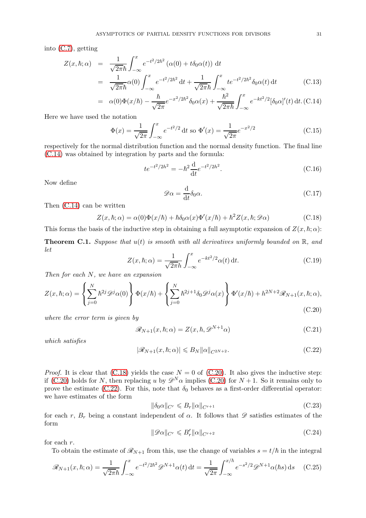into [\(C.7\)](#page-29-3), getting

<span id="page-30-0"></span>
$$
Z(x,\hbar;\alpha) = \frac{1}{\sqrt{2\pi}\hbar} \int_{-\infty}^{x} e^{-t^2/2\hbar^2} (\alpha(0) + t\delta_0 \alpha(t)) dt
$$
  

$$
= \frac{1}{\sqrt{2\pi}\hbar} \alpha(0) \int_{-\infty}^{x} e^{-t^2/2\hbar^2} dt + \frac{1}{\sqrt{2\pi}\hbar} \int_{-\infty}^{x} t e^{-t^2/2\hbar^2} \delta_0 \alpha(t) dt
$$
(C.13)

$$
= \alpha(0)\Phi(x/\hbar) - \frac{\hbar}{\sqrt{2\pi}}e^{-x^2/2\hbar^2}\delta_0\alpha(x) + \frac{\hbar^2}{\sqrt{2\pi\hbar}}\int_{-\infty}^x e^{-kt^2/2}[\delta_0\alpha]'(t) dt. \text{(C.14)}
$$

Here we have used the notation

$$
\Phi(x) = \frac{1}{\sqrt{2\pi}} \int_{-\infty}^{x} e^{-t^2/2} dt \text{ so } \Phi'(x) = \frac{1}{\sqrt{2\pi}} e^{-x^2/2}
$$
 (C.15)

respectively for the normal distribution function and the normal density function. The final line [\(C.14\)](#page-30-0) was obtained by integration by parts and the formula:

$$
te^{-t^2/2h^2} = -\hbar^2 \frac{d}{dt} e^{-t^2/2h^2}.
$$
\n(C.16)

Now define

$$
\mathcal{D}\alpha = \frac{\mathrm{d}}{\mathrm{d}t} \delta_0 \alpha. \tag{C.17}
$$

Then [\(C.14\)](#page-30-0) can be written

<span id="page-30-1"></span>
$$
Z(x,\hbar;\alpha) = \alpha(0)\Phi(x/\hbar) + \hbar\delta_0\alpha(x)\Phi'(x/\hbar) + \hbar^2 Z(x,\hbar;\mathscr{D}\alpha)
$$
 (C.18)

This forms the basis of the inductive step in obtaining a full asymptotic expansion of  $Z(x, \hbar; \alpha)$ :

**Theorem C.1.** Suppose that  $u(t)$  is smooth with all derivatives uniformly bounded on  $\mathbb{R}$ , and let

$$
Z(x,\hbar;\alpha) = \frac{1}{\sqrt{2\pi h}} \int_{-\infty}^{x} e^{-kt^2/2} \alpha(t) dt.
$$
 (C.19)

Then for each N, we have an expansion

<span id="page-30-2"></span>
$$
Z(x,\hbar;\alpha) = \left\{ \sum_{j=0}^{N} \hbar^{2j} \mathcal{D}^{j} \alpha(0) \right\} \Phi(x/\hbar) + \left\{ \sum_{j=0}^{N} \hbar^{2j+1} \delta_{0} \mathcal{D}^{j} \alpha(x) \right\} \Phi'(x/\hbar) + h^{2N+2} \mathcal{R}_{N+1}(x,\hbar;\alpha),
$$
(C.20)

where the error term is given by

$$
\mathcal{R}_{N+1}(x,\hbar;\alpha) = Z(x,\hbar,\mathcal{D}^{N+1}\alpha) \tag{C.21}
$$

which satisfies

<span id="page-30-3"></span>
$$
|\mathscr{R}_{N+1}(x,\hbar;\alpha)| \leq B_N \|\alpha\|_{C^{2N+2}}.\tag{C.22}
$$

*Proof.* It is clear that  $(C.18)$  yields the case  $N = 0$  of  $(C.20)$ . It also gives the inductive step: if [\(C.20\)](#page-30-2) holds for N, then replacing u by  $\mathscr{D}^N\alpha$  implies (C.20) for  $N+1$ . So it remains only to prove the estimate [\(C.22\)](#page-30-3). For this, note that  $\delta_0$  behaves as a first-order differential operator: we have estimates of the form

$$
\|\delta_0 \alpha\|_{C^r} \leqslant B_r \|\alpha\|_{C^{r+1}} \tag{C.23}
$$

for each r,  $B_r$  being a constant independent of  $\alpha$ . It follows that  $\mathscr D$  satisfies estimates of the form

<span id="page-30-4"></span>
$$
\|\mathcal{D}\alpha\|_{C^r} \leqslant B'_r \|\alpha\|_{C^{r+2}} \tag{C.24}
$$

for each r.

To obtain the estimate of  $\mathcal{R}_{N+1}$  from this, use the change of variables  $s = t/\hbar$  in the integral

$$
\mathcal{R}_{N+1}(x,\hbar;\alpha) = \frac{1}{\sqrt{2\pi\hbar}} \int_{-\infty}^{x} e^{-t^2/2\hbar^2} \mathcal{D}^{N+1}\alpha(t) dt = \frac{1}{\sqrt{2\pi}} \int_{-\infty}^{x/\hbar} e^{-s^2/2} \mathcal{D}^{N+1}\alpha(\hbar s) ds \quad (C.25)
$$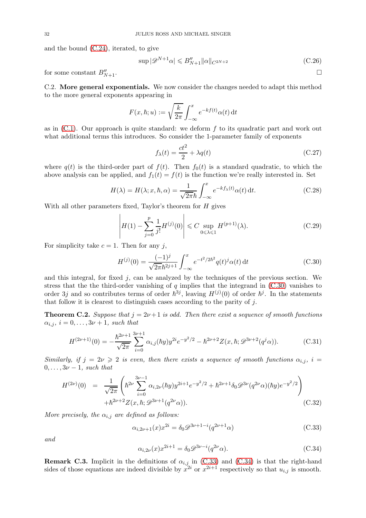and the bound [\(C.24\)](#page-30-4), iterated, to give

$$
\sup |\mathcal{D}^{N+1}\alpha| \leqslant B''_{N+1} \|\alpha\|_{C^{2N+2}} \tag{C.26}
$$

for some constant  $B''_{N+1}$ .  $N+1$ .

C.2. More general exponentials. We now consider the changes needed to adapt this method to the more general exponents appearing in

$$
F(x,\hbar;u) := \sqrt{\frac{k}{2\pi}} \int_{-\infty}^{x} e^{-kf(t)} \alpha(t) dt
$$

as in  $(C.1)$ . Our approach is quite standard: we deform f to its quadratic part and work out what additional terms this introduces. So consider the 1-parameter family of exponents

$$
f_{\lambda}(t) = \frac{ct^2}{2} + \lambda q(t)
$$
 (C.27)

where  $q(t)$  is the third-order part of  $f(t)$ . Then  $f_0(t)$  is a standard quadratic, to which the above analysis can be applied, and  $f_1(t) = f(t)$  is the function we're really interested in. Set

<span id="page-31-4"></span>
$$
H(\lambda) = H(\lambda; x, \hbar, \alpha) = \frac{1}{\sqrt{2\pi\hbar}} \int_{-\infty}^{x} e^{-kf_{\lambda}(t)} \alpha(t) dt.
$$
 (C.28)

With all other parameters fixed, Taylor's theorem for  $H$  gives

<span id="page-31-7"></span>
$$
\left| H(1) - \sum_{j=0}^{p} \frac{1}{j!} H^{(j)}(0) \right| \leq C \sup_{0 \leq \lambda \leq 1} H^{(p+1)}(\lambda). \tag{C.29}
$$

For simplicity take  $c = 1$ . Then for any j,

<span id="page-31-0"></span>
$$
H^{(j)}(0) = \frac{(-1)^j}{\sqrt{2\pi}\hbar^{2j+1}} \int_{-\infty}^x e^{-t^2/2\hbar^2} q(t)^j \alpha(t) dt
$$
 (C.30)

and this integral, for fixed  $j$ , can be analyzed by the techniques of the previous section. We stress that the the third-order vanishing of  $q$  implies that the integrand in  $(C.30)$  vanishes to order 3j and so contributes terms of order  $\hbar^{3j}$ , leaving  $H^{(j)}(0)$  of order  $\hbar^{j}$ . In the statements that follow it is clearest to distinguish cases according to the parity of j.

<span id="page-31-3"></span>**Theorem C.2.** Suppose that  $j = 2\nu + 1$  is odd. Then there exist a sequence of smooth functions  $\alpha_{i,j}, i = 0, \ldots, 3\nu + 1$ , such that

<span id="page-31-5"></span>
$$
H^{(2\nu+1)}(0) = -\frac{\hbar^{2\nu+1}}{\sqrt{2\pi}} \sum_{i=0}^{3\nu+1} \alpha_{i,j}(\hbar y) y^{2i} e^{-y^2/2} - \hbar^{2\nu+2} Z(x,\hbar; \mathcal{D}^{3\nu+2}(q^j \alpha)).
$$
 (C.31)

Similarly, if  $j = 2\nu \geq 2$  is even, then there exists a sequence of smooth functions  $\alpha_{i,j}$ ,  $i =$  $0, \ldots, 3\nu-1$ , such that

<span id="page-31-6"></span>
$$
H^{(2\nu)}(0) = \frac{1}{\sqrt{2\pi}} \left( \hbar^{2\nu} \sum_{i=0}^{3\nu-1} \alpha_{i,2\nu}(\hbar y) y^{2i+1} e^{-y^2/2} + \hbar^{2\nu+1} \delta_0 \mathscr{D}^{3\nu} (q^{2\nu} \alpha)(\hbar y) e^{-y^2/2} \right) + \hbar^{2\nu+2} Z(x,\hbar; \mathscr{D}^{3\nu+1} (q^{2\nu} \alpha)). \tag{C.32}
$$

More precisely, the  $\alpha_{i,j}$  are defined as follows:

<span id="page-31-1"></span>
$$
\alpha_{i,2\nu+1}(x)x^{2i} = \delta_0 \mathcal{D}^{3\nu+1-i}(q^{2\nu+1}\alpha)
$$
\n(C.33)

and

<span id="page-31-2"></span>
$$
\alpha_{i,2\nu}(x)x^{2i+1} = \delta_0 \mathcal{D}^{3\nu-i}(q^{2\nu}\alpha). \tag{C.34}
$$

**Remark C.3.** Implicit in the definitions of  $\alpha_{i,j}$  in [\(C.33\)](#page-31-1) and [\(C.34\)](#page-31-2) is that the right-hand sides of those equations are indeed divisible by  $x^{2i}$  or  $x^{2i+1}$  respectively so that  $u_{i,j}$  is smooth.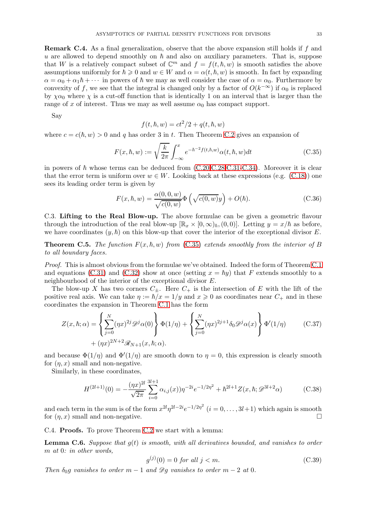<span id="page-32-0"></span>Remark C.4. As a final generalization, observe that the above expansion still holds if f and u are allowed to depend smoothly on  $h$  and also on auxiliary parameters. That is, suppose that W is a relatively compact subset of  $\mathbb{C}^m$  and  $f = f(t, \hbar, w)$  is smooth satisfies the above assumptions uniformly for  $\hbar \geq 0$  and  $w \in W$  and  $\alpha = \alpha(t, \hbar, w)$  is smooth. In fact by expanding  $\alpha = \alpha_0 + \alpha_1 \hbar + \cdots$  in powers of  $\hbar$  we may as well consider the case of  $\alpha = \alpha_0$ . Furthermore by convexity of f, we see that the integral is changed only by a factor of  $O(k^{-\infty})$  if  $\alpha_0$  is replaced by  $\chi \alpha_0$  where  $\chi$  is a cut-off function that is identically 1 on an interval that is larger than the range of x of interest. Thus we may as well assume  $\alpha_0$  has compact support.

Say

$$
f(t, \hbar, w) = ct^2/2 + q(t, \hbar, w)
$$

where  $c = c(\hbar, w) > 0$  and q has order 3 in t. Then Theorem [C.2](#page-31-3) gives an expansion of

<span id="page-32-1"></span>
$$
F(x,\hbar,w) := \sqrt{\frac{k}{2\pi}} \int_{-\infty}^{x} e^{-\hbar^{-2}f(t,\hbar,w)} \alpha(t,\hbar,w) dt
$$
 (C.35)

in powers of  $\hbar$  whose terms can be deduced from  $(C.20, C.28, C.31, C.34)$  $(C.20, C.28, C.31, C.34)$ . Moreover it is clear that the error term is uniform over  $w \in W$ . Looking back at these expressions (e.g. [\(C.18\)](#page-30-1)) one sees its leading order term is given by

$$
F(x, \hbar, w) = \frac{\alpha(0, 0, w)}{\sqrt{c(0, w)}} \Phi \left( \sqrt{c(0, w)} y \right) + O(\hbar).
$$
 (C.36)

C.3. Lifting to the Real Blow-up. The above formulae can be given a geometric flavour through the introduction of the real blow-up  $[\mathbb{R}_x \times [0, \infty)_\hbar, (0, 0)]$ . Letting  $y = x/\hbar$  as before, we have coordinates  $(y, \hbar)$  on this blow-up that cover the interior of the exceptional divisor E.

**Theorem C.5.** The function  $F(x, \hbar, w)$  from [\(C.35\)](#page-32-1) extends smoothly from the interior of B to all boundary faces.

Proof. This is almost obvious from the formulae we've obtained. Indeed the form of Theorem [C.1](#page-30-3) and equations [\(C.31\)](#page-31-5) and [\(C.32\)](#page-31-6) show at once (setting  $x = \hbar y$ ) that F extends smoothly to a neighbourhood of the interior of the exceptional divisor E.

The blow-up X has two corners  $C_{\pm}$ . Here  $C_{+}$  is the intersection of E with the lift of the positive real axis. We can take  $\eta := \hbar/x = 1/y$  and  $x \geq 0$  as coordinates near  $C_+$  and in these coordinates the expansion in Theorem [C.1](#page-30-3) has the form

$$
Z(x,\hbar;\alpha) = \left\{ \sum_{j=0}^{N} (\eta x)^{2j} \mathcal{D}^j \alpha(0) \right\} \Phi(1/\eta) + \left\{ \sum_{j=0}^{N} (\eta x)^{2j+1} \delta_0 \mathcal{D}^j \alpha(x) \right\} \Phi'(1/\eta) \tag{C.37}
$$

$$
+ (\eta x)^{2N+2} \mathcal{R}_{N+1}(x,\hbar;\alpha).
$$

and because  $\Phi(1/\eta)$  and  $\Phi'(1/\eta)$  are smooth down to  $\eta = 0$ , this expression is clearly smooth for  $(\eta, x)$  small and non-negative.

Similarly, in these coordinates,

$$
H^{(2l+1)}(0) = -\frac{(\eta x)^{2l}}{\sqrt{2\pi}} \sum_{i=0}^{3l+1} \alpha_{i,j}(x) \eta^{-2i} e^{-1/2\eta^2} + \hbar^{2l+1} Z(x,\hbar; \mathcal{D}^{3l+2}\alpha)
$$
 (C.38)

and each term in the sum is of the form  $x^{2l}\eta^{2l-2i}e^{-1/2\eta^2}$   $(i=0,\ldots,3l+1)$  which again is smooth for  $(\eta, x)$  small and non-negative.

C.4. Proofs. To prove Theorem [C.2](#page-31-3) we start with a lemma:

**Lemma C.6.** Suppose that  $g(t)$  is smooth, with all derivatives bounded, and vanishes to order m at 0: in other words,

$$
g^{(j)}(0) = 0 \text{ for all } j < m. \tag{C.39}
$$

Then  $\delta_0 g$  vanishes to order  $m-1$  and  $\mathscr{D}g$  vanishes to order  $m-2$  at 0.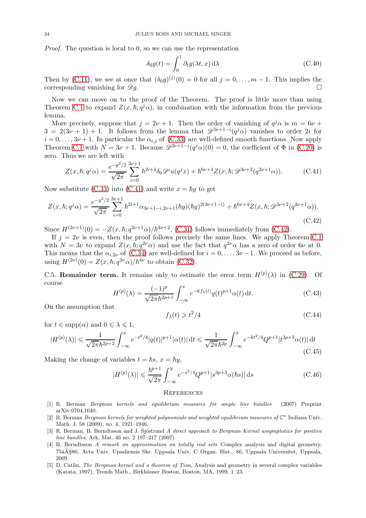Proof. The question is local to 0, so we can use the representation

$$
\delta_0 g(t) = \int_0^1 \partial_t g(\lambda t, x) \, d\lambda \tag{C.40}
$$

Then by [\(C.11\)](#page-29-4), we see at once that  $(\delta_0 g)^{(j)}(0) = 0$  for all  $j = 0, \ldots, m-1$ . This implies the corresponding vanishing for  $\mathscr{D}q$ .

Now we can move on to the proof of the Theorem. The proof is little more than using Theorem [C.1](#page-30-3) to expand  $Z(x, \hbar; q^j \alpha)$ , in combination with the information from the previous lemma.

More precisely, suppose that  $j = 2\nu + 1$ . Then the order of vanishing of  $q^j \alpha$  is  $m = 6\nu +$  $3 = 2(3\nu + 1) + 1$ . It follows from the lemma that  $\mathscr{D}^{3\nu+1-i}(q^j\alpha)$  vanishes to order 2i for  $i = 0, \ldots, 3\nu + 1$ . In particular the  $\alpha_{i,j}$  of [\(C.33\)](#page-31-1) are well-defined smooth functions. Now apply Theorem [C.1](#page-30-3) with  $N = 3\nu + 1$ . Because  $\mathscr{D}^{3\nu+1-i}(q^j\alpha)(0) = 0$ , the coefficient of  $\Phi$  in [\(C.20\)](#page-30-2) is zero. Thus we are left with

<span id="page-33-5"></span>
$$
Z(x,\hbar;q^j\alpha) = \frac{e^{-y^2/2}}{\sqrt{2\pi}} \sum_{i=0}^{3\nu+1} \hbar^{2i+1} \delta_0 \mathscr{D}^i u(q^j x) + \hbar^{6\nu+4} Z(x,\hbar; \mathscr{D}^{3\nu+2}(q^{2\nu+1}\alpha)). \tag{C.41}
$$

Now substitute [\(C.33\)](#page-31-1) into [\(C.41\)](#page-33-5) and write  $x = \hbar y$  to get

<span id="page-33-6"></span>
$$
Z(x,\hbar;q^j\alpha) = \frac{e^{-y^2/2}}{\sqrt{2\pi}} \sum_{i=0}^{3\nu+1} \hbar^{2i+1}\alpha_{3\nu+1-i,2\nu+1}(\hbar y)(\hbar y)^{2(3\nu+1-i)} + \hbar^{6\nu+4}Z(x,\hbar;\mathcal{D}^{3\nu+2}(q^{2\nu+1}\alpha)).
$$
\n(C.42)

Since  $H^{(2\nu+1)}(0) = -Z(x,\hbar;q^{2\nu+1}\alpha)/\hbar^{4\nu+2}$ , [\(C.31\)](#page-31-5) follows immediately from [\(C.42\)](#page-33-6).

If  $j = 2\nu$  is even, then the proof follows precisely the same lines. We apply Theorem [C.1](#page-30-3) with  $N = 3\nu$  to expand  $Z(x, \hbar; q^{2\nu}\alpha)$  and use the fact that  $q^{2\nu}\alpha$  has a zero of order  $6\nu$  at 0. This means that the  $\alpha_{i,2\nu}$  of [\(C.34\)](#page-31-2) are well-defined for  $i = 0, \ldots, 3\nu - 1$ . We proceed as before, using  $H^{(2\nu)}(0) = Z(x, \hbar; q^{2\nu}\alpha)/\hbar^{4\nu}$  to obtain [\(C.32\)](#page-31-6).

C.5. **Remainder term.** It remains only to estimate the error term  $H^{(p)}(\lambda)$  in [\(C.29\)](#page-31-7). Of course

$$
H^{(p)}(\lambda) = \frac{(-1)^p}{\sqrt{2\pi}\hbar^{2p+1}} \int_{-\infty}^x e^{-kf_{\lambda}(t)} q(t)^{p+1} \alpha(t) \, \mathrm{d}t. \tag{C.43}
$$

On the assumption that

$$
f_{\lambda}(t) \geqslant t^2/4\tag{C.44}
$$

for  $t \in \text{supp}(\alpha)$  and  $0 \leq \lambda \leq 1$ ,

$$
|H^{(p)}(\lambda)| \leq \frac{1}{\sqrt{2\pi}\hbar^{2p+2}} \int_{-\infty}^{x} e^{-t^{2}/4} |q(t)|^{p+1} |\alpha(t)| dt \leq \frac{1}{\sqrt{2\pi}\hbar^{2p}} \int_{-\infty}^{x} e^{-kt^{2}/4} Q^{p+1} |t^{3p+3} \alpha(t)| dt
$$
\n(C.45)

Making the change of variables  $t = \hbar s$ ,  $x = \hbar y$ ,

$$
|H^{(p)}(\lambda)| \le \frac{\hbar^{p+1}}{\sqrt{2\pi}} \int_{-\infty}^{y} e^{-s^2/4} Q^{p+1} |s^{3p+3} \alpha(\hbar s)| \, \mathrm{d}s \tag{C.46}
$$

### **REFERENCES**

- <span id="page-33-1"></span>[1] R. Berman Bergman kernels and equilibrium measures for ample line bundles (2007) Preprint arXiv:0704.1640.
- <span id="page-33-0"></span>[2] R. Berman Bergman kernels for weighted polynomials and weighted equilibrium measures of  $\mathbb{C}^n$  Indiana Univ. Math. J. 58 (2009), no. 4, 1921–1946.
- <span id="page-33-3"></span>[3] R. Berman, B. Berndtsson and J. Sjöstrand A direct approach to Bergman Kernel assymptotics for positive line bundles, Ark. Mat. 46 no. 2 197–217 (2007).
- <span id="page-33-2"></span>[4] B. Berndtsson A remark on approximation on totally real sets Complex analysis and digital geometry, 75âŧ80, Acta Univ. Upsaliensis Skr. Uppsala Univ. C Organ. Hist., 86, Uppsala Universitet, Uppsala, 2009.
- <span id="page-33-4"></span>[5] D. Catlin, The Bergman kernel and a theorem of Tian, Analysis and geometry in several complex variables (Katata, 1997), Trends Math., Birkhäuser Boston, Boston, MA, 1999, 1-23.